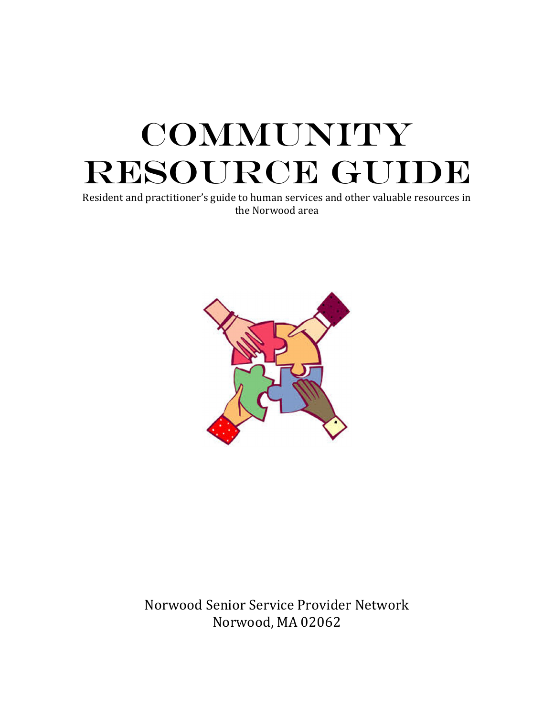# **COMMUNITY** RESOURCE GUIDE

Resident and practitioner's guide to human services and other valuable resources in the Norwood area



Norwood Senior Service Provider Network Norwood, MA 02062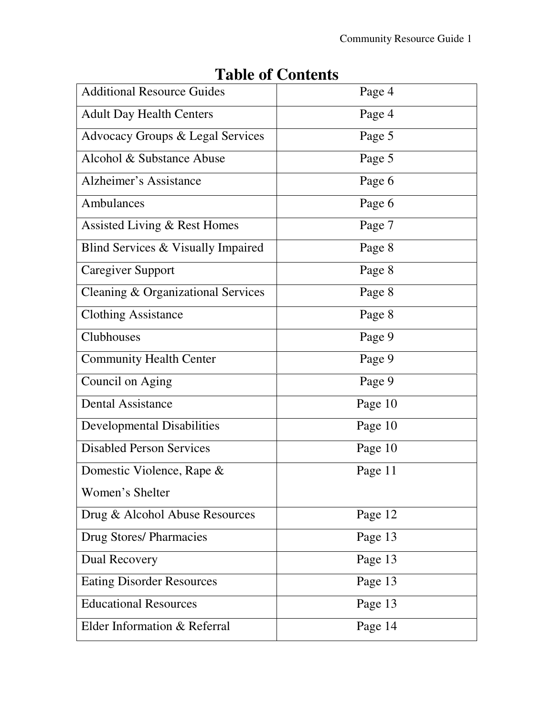| <b>Additional Resource Guides</b>  |         |
|------------------------------------|---------|
|                                    | Page 4  |
| <b>Adult Day Health Centers</b>    | Page 4  |
| Advocacy Groups & Legal Services   | Page 5  |
| Alcohol & Substance Abuse          | Page 5  |
| Alzheimer's Assistance             | Page 6  |
| Ambulances                         | Page 6  |
| Assisted Living & Rest Homes       | Page 7  |
| Blind Services & Visually Impaired | Page 8  |
| <b>Caregiver Support</b>           | Page 8  |
| Cleaning & Organizational Services | Page 8  |
| <b>Clothing Assistance</b>         | Page 8  |
| Clubhouses                         | Page 9  |
| <b>Community Health Center</b>     | Page 9  |
| Council on Aging                   | Page 9  |
| <b>Dental Assistance</b>           | Page 10 |
| <b>Developmental Disabilities</b>  | Page 10 |
| <b>Disabled Person Services</b>    | Page 10 |
| Domestic Violence, Rape &          | Page 11 |
| Women's Shelter                    |         |
| Drug & Alcohol Abuse Resources     | Page 12 |
| <b>Drug Stores/Pharmacies</b>      | Page 13 |
| Dual Recovery                      | Page 13 |
| <b>Eating Disorder Resources</b>   | Page 13 |
| <b>Educational Resources</b>       | Page 13 |
| Elder Information & Referral       | Page 14 |

## **Table of Contents**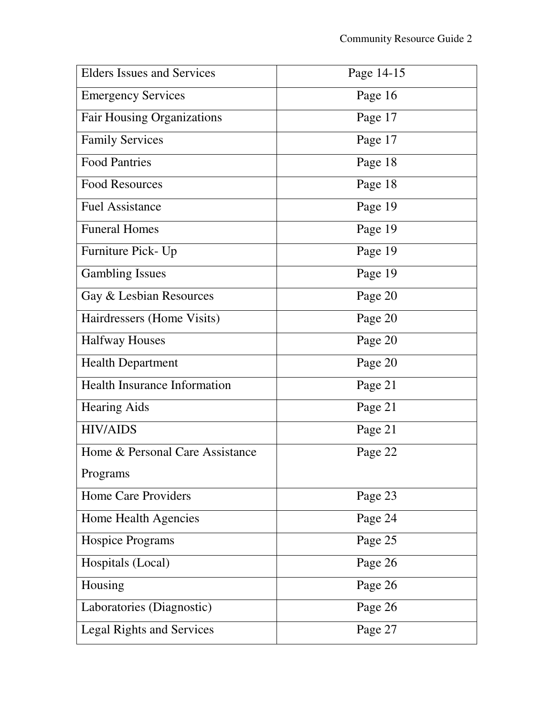| <b>Elders Issues and Services</b>   | Page 14-15 |
|-------------------------------------|------------|
| <b>Emergency Services</b>           | Page 16    |
| <b>Fair Housing Organizations</b>   | Page 17    |
| <b>Family Services</b>              | Page 17    |
| <b>Food Pantries</b>                | Page 18    |
| <b>Food Resources</b>               | Page 18    |
| <b>Fuel Assistance</b>              | Page 19    |
| <b>Funeral Homes</b>                | Page 19    |
| Furniture Pick- Up                  | Page 19    |
| <b>Gambling Issues</b>              | Page 19    |
| Gay & Lesbian Resources             | Page 20    |
| Hairdressers (Home Visits)          | Page 20    |
| <b>Halfway Houses</b>               | Page 20    |
| <b>Health Department</b>            | Page 20    |
| <b>Health Insurance Information</b> | Page 21    |
| <b>Hearing Aids</b>                 | Page 21    |
| <b>HIV/AIDS</b>                     | Page 21    |
| Home & Personal Care Assistance     | Page 22    |
| Programs                            |            |
| Home Care Providers                 | Page 23    |
| Home Health Agencies                | Page 24    |
| <b>Hospice Programs</b>             | Page 25    |
| Hospitals (Local)                   | Page 26    |
| Housing                             | Page 26    |
| Laboratories (Diagnostic)           | Page 26    |
| <b>Legal Rights and Services</b>    | Page 27    |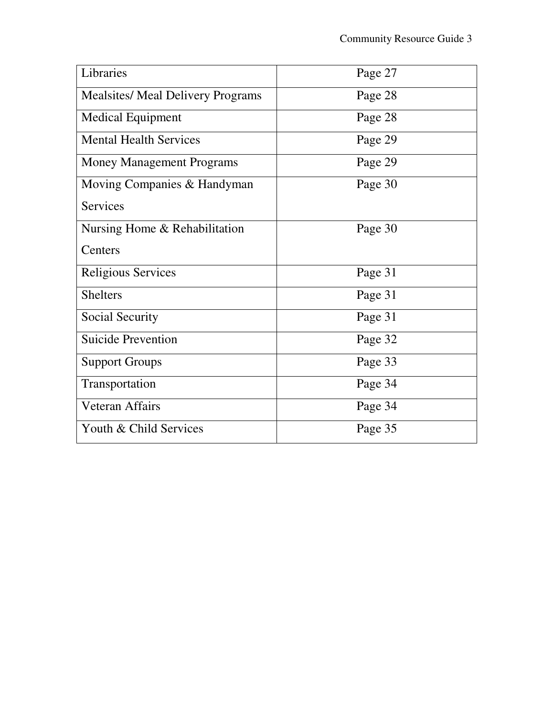| Libraries                                | Page 27 |
|------------------------------------------|---------|
| <b>Mealsites/ Meal Delivery Programs</b> | Page 28 |
| <b>Medical Equipment</b>                 | Page 28 |
| <b>Mental Health Services</b>            | Page 29 |
| <b>Money Management Programs</b>         | Page 29 |
| Moving Companies & Handyman              | Page 30 |
| <b>Services</b>                          |         |
| Nursing Home & Rehabilitation            | Page 30 |
| Centers                                  |         |
| <b>Religious Services</b>                | Page 31 |
| <b>Shelters</b>                          | Page 31 |
| Social Security                          | Page 31 |
| <b>Suicide Prevention</b>                | Page 32 |
| <b>Support Groups</b>                    | Page 33 |
| Transportation                           | Page 34 |
| Veteran Affairs                          | Page 34 |
| Youth & Child Services                   | Page 35 |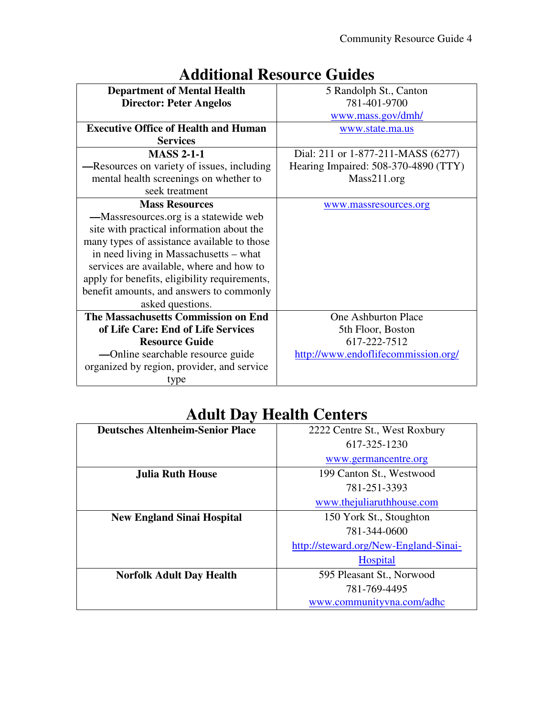|                                               | nnonal Rebource Guideb               |
|-----------------------------------------------|--------------------------------------|
| <b>Department of Mental Health</b>            | 5 Randolph St., Canton               |
| <b>Director: Peter Angelos</b>                | 781-401-9700                         |
|                                               | www.mass.gov/dmh/                    |
| <b>Executive Office of Health and Human</b>   | www.state.ma.us                      |
| <b>Services</b>                               |                                      |
| <b>MASS 2-1-1</b>                             | Dial: 211 or 1-877-211-MASS (6277)   |
| -Resources on variety of issues, including    | Hearing Impaired: 508-370-4890 (TTY) |
| mental health screenings on whether to        | Mass211.org                          |
| seek treatment                                |                                      |
| <b>Mass Resources</b>                         | www.massresources.org                |
| —Massresources.org is a statewide web         |                                      |
| site with practical information about the     |                                      |
| many types of assistance available to those   |                                      |
| in need living in Massachusetts - what        |                                      |
| services are available, where and how to      |                                      |
| apply for benefits, eligibility requirements, |                                      |
| benefit amounts, and answers to commonly      |                                      |
| asked questions.                              |                                      |
| The Massachusetts Commission on End           | One Ashburton Place                  |
| of Life Care: End of Life Services            | 5th Floor, Boston                    |
| <b>Resource Guide</b>                         | 617-222-7512                         |
| —Online searchable resource guide             | http://www.endoflifecommission.org/  |
| organized by region, provider, and service    |                                      |
| type                                          |                                      |

## **Additional Resource Guides**

## **Adult Day Health Centers**

| <b>Deutsches Altenheim-Senior Place</b> | 2222 Centre St., West Roxbury         |
|-----------------------------------------|---------------------------------------|
|                                         | 617-325-1230                          |
|                                         | www.germancentre.org                  |
| <b>Julia Ruth House</b>                 | 199 Canton St., Westwood              |
|                                         | 781-251-3393                          |
|                                         | www.thejuliaruthhouse.com             |
| <b>New England Sinai Hospital</b>       | 150 York St., Stoughton               |
|                                         | 781-344-0600                          |
|                                         | http://steward.org/New-England-Sinai- |
|                                         | <b>Hospital</b>                       |
| <b>Norfolk Adult Day Health</b>         | 595 Pleasant St., Norwood             |
|                                         | 781-769-4495                          |
|                                         | www.communityvna.com/adhc             |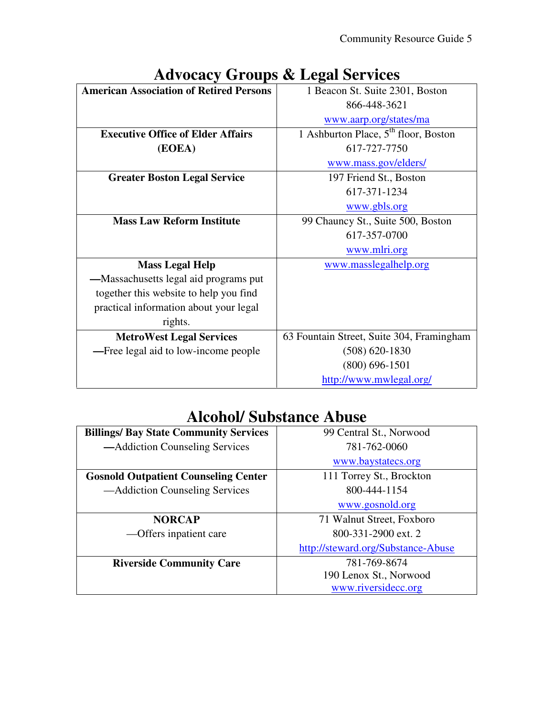|                                                | $1100000$ of $0.04$ $\mu$ $\sigma$ $1000$ $\sigma$ $1000$ |
|------------------------------------------------|-----------------------------------------------------------|
| <b>American Association of Retired Persons</b> | 1 Beacon St. Suite 2301, Boston                           |
|                                                | 866-448-3621                                              |
|                                                | www.aarp.org/states/ma                                    |
| <b>Executive Office of Elder Affairs</b>       | 1 Ashburton Place, 5 <sup>th</sup> floor, Boston          |
| (EOEA)                                         | 617-727-7750                                              |
|                                                | www.mass.gov/elders/                                      |
| <b>Greater Boston Legal Service</b>            | 197 Friend St., Boston                                    |
|                                                | 617-371-1234                                              |
|                                                | www.gbls.org                                              |
| <b>Mass Law Reform Institute</b>               | 99 Chauncy St., Suite 500, Boston                         |
|                                                | 617-357-0700                                              |
|                                                | www.mlri.org                                              |
| <b>Mass Legal Help</b>                         | www.masslegalhelp.org                                     |
| —Massachusetts legal aid programs put          |                                                           |
| together this website to help you find         |                                                           |
| practical information about your legal         |                                                           |
| rights.                                        |                                                           |
| <b>MetroWest Legal Services</b>                | 63 Fountain Street, Suite 304, Framingham                 |
| -Free legal aid to low-income people           | $(508) 620 - 1830$                                        |
|                                                | $(800)$ 696-1501                                          |
|                                                | http://www.mwlegal.org/                                   |

# **Advocacy Groups & Legal Services**

#### **Alcohol/ Substance Abuse**

| <b>Billings/ Bay State Community Services</b> | 99 Central St., Norwood            |
|-----------------------------------------------|------------------------------------|
| —Addiction Counseling Services                | 781-762-0060                       |
|                                               | www.baystatecs.org                 |
| <b>Gosnold Outpatient Counseling Center</b>   | 111 Torrey St., Brockton           |
| — Addiction Counseling Services               | 800-444-1154                       |
|                                               | www.gosnold.org                    |
| <b>NORCAP</b>                                 | 71 Walnut Street, Foxboro          |
| — Offers inpatient care                       | 800-331-2900 ext. 2                |
|                                               | http://steward.org/Substance-Abuse |
| <b>Riverside Community Care</b>               | 781-769-8674                       |
|                                               | 190 Lenox St., Norwood             |
|                                               | www.riversidecc.org                |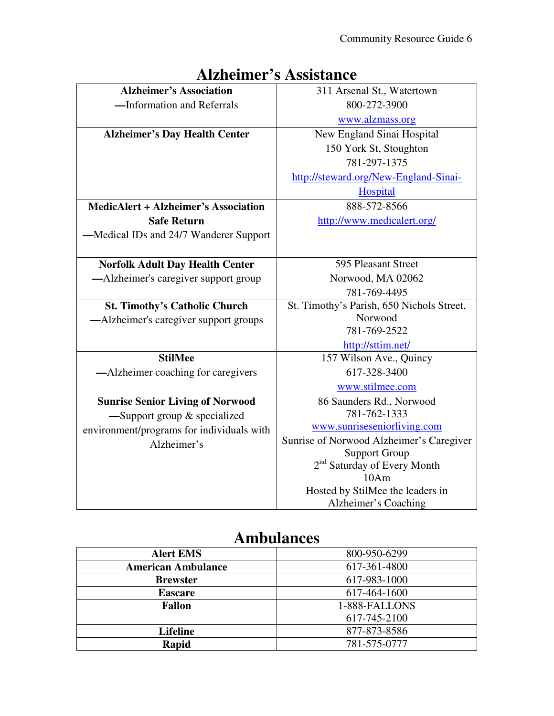|                                             | Tributulitet b Trobibidhitet              |
|---------------------------------------------|-------------------------------------------|
| <b>Alzheimer's Association</b>              | 311 Arsenal St., Watertown                |
| -Information and Referrals                  | 800-272-3900                              |
|                                             | www.alzmass.org                           |
| <b>Alzheimer's Day Health Center</b>        | New England Sinai Hospital                |
|                                             | 150 York St, Stoughton                    |
|                                             | 781-297-1375                              |
|                                             | http://steward.org/New-England-Sinai-     |
|                                             | Hospital                                  |
| <b>MedicAlert + Alzheimer's Association</b> | 888-572-8566                              |
| <b>Safe Return</b>                          | http://www.medicalert.org/                |
| -Medical IDs and 24/7 Wanderer Support      |                                           |
|                                             |                                           |
| <b>Norfolk Adult Day Health Center</b>      | 595 Pleasant Street                       |
| —Alzheimer's caregiver support group        | Norwood, MA 02062                         |
|                                             | 781-769-4495                              |
| <b>St. Timothy's Catholic Church</b>        | St. Timothy's Parish, 650 Nichols Street, |
| -Alzheimer's caregiver support groups       | Norwood                                   |
|                                             | 781-769-2522                              |
|                                             | http://sttim.net/                         |
| <b>StilMee</b>                              | 157 Wilson Ave., Quincy                   |
| -Alzheimer coaching for caregivers          | 617-328-3400                              |
|                                             | www.stilmee.com                           |
| <b>Sunrise Senior Living of Norwood</b>     | 86 Saunders Rd., Norwood                  |
| $-$ Support group $\&$ specialized          | 781-762-1333                              |
| environment/programs for individuals with   | www.sunriseseniorliving.com               |
| Alzheimer's                                 | Sunrise of Norwood Alzheimer's Caregiver  |
|                                             | <b>Support Group</b>                      |
|                                             | 2 <sup>nd</sup> Saturday of Every Month   |
|                                             | 10Am                                      |
|                                             | Hosted by StilMee the leaders in          |
|                                             | Alzheimer's Coaching                      |

## **Alzheimer's Assistance**

#### **Ambulances**

| <b>Alert EMS</b>          | 800-950-6299  |
|---------------------------|---------------|
| <b>American Ambulance</b> | 617-361-4800  |
| <b>Brewster</b>           | 617-983-1000  |
| <b>Eascare</b>            | 617-464-1600  |
| <b>Fallon</b>             | 1-888-FALLONS |
|                           | 617-745-2100  |
| <b>Lifeline</b>           | 877-873-8586  |
| Rapid                     | 781-575-0777  |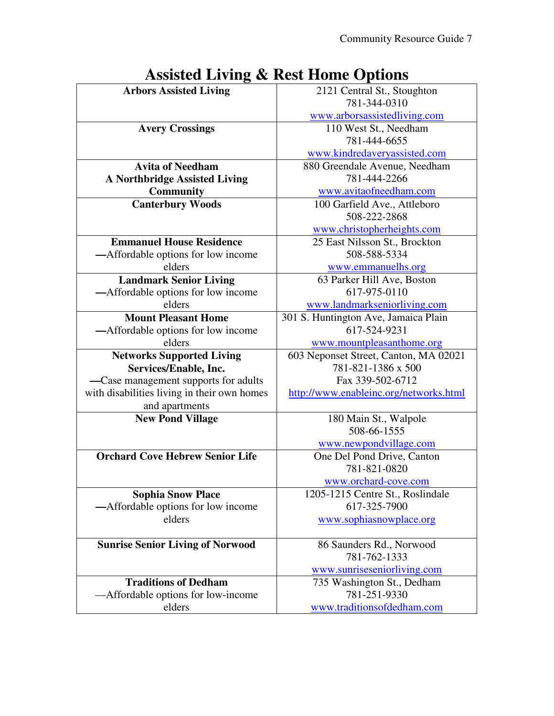| 603 Neponset Street, Canton, MA 02021  |
|----------------------------------------|
|                                        |
|                                        |
| http://www.enableinc.org/networks.html |
|                                        |
|                                        |
|                                        |
|                                        |
|                                        |
|                                        |
|                                        |
|                                        |
|                                        |
|                                        |
|                                        |
|                                        |
|                                        |
|                                        |
|                                        |
|                                        |
|                                        |
|                                        |

## **Assisted Living & Rest Home Options**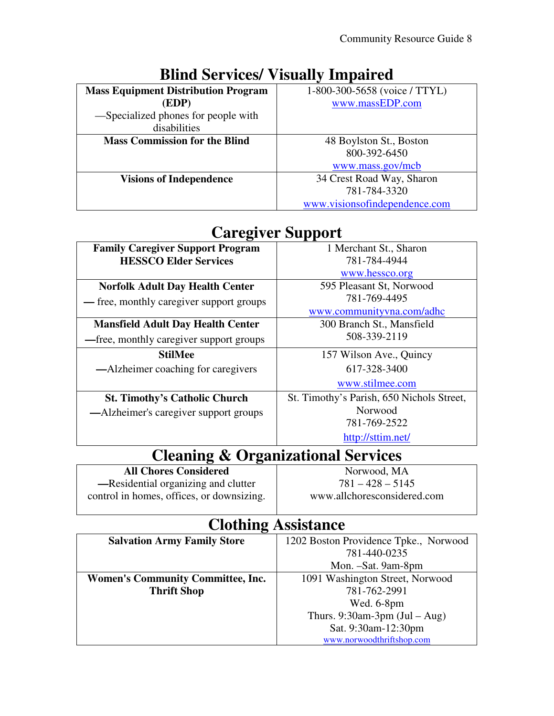| <b>Mass Equipment Distribution Program</b> | 1-800-300-5658 (voice / TTYL) |
|--------------------------------------------|-------------------------------|
| (EDP)                                      | www.massEDP.com               |
| -Specialized phones for people with        |                               |
| disabilities                               |                               |
| <b>Mass Commission for the Blind</b>       | 48 Boylston St., Boston       |
|                                            | 800-392-6450                  |
|                                            | www.mass.gov/mcb              |
| <b>Visions of Independence</b>             | 34 Crest Road Way, Sharon     |
|                                            | 781-784-3320                  |
|                                            | www.visionsofindependence.com |

#### **Blind Services/ Visually Impaired**

#### **Caregiver Support**

| <b>Family Caregiver Support Program</b>  | 1 Merchant St., Sharon                    |
|------------------------------------------|-------------------------------------------|
| <b>HESSCO Elder Services</b>             | 781-784-4944                              |
|                                          | www.hessco.org                            |
| <b>Norfolk Adult Day Health Center</b>   | 595 Pleasant St, Norwood                  |
| — free, monthly caregiver support groups | 781-769-4495                              |
|                                          | www.communityvna.com/adhc                 |
| <b>Mansfield Adult Day Health Center</b> | 300 Branch St., Mansfield                 |
| -free, monthly caregiver support groups  | 508-339-2119                              |
| <b>StilMee</b>                           | 157 Wilson Ave., Quincy                   |
| —Alzheimer coaching for caregivers       | 617-328-3400                              |
|                                          | www.stilmee.com                           |
| <b>St. Timothy's Catholic Church</b>     | St. Timothy's Parish, 650 Nichols Street, |
| —Alzheimer's caregiver support groups    | Norwood                                   |
|                                          | 781-769-2522                              |
|                                          | http://sttim.net/                         |

## **Cleaning & Organizational Services**

**All Chores Considered —**Residential organizing and clutter control in homes, offices, or downsizing.

Norwood, MA  $781 - 428 - 5145$ www.allchoresconsidered.com

#### **Clothing Assistance**

| <b>Salvation Army Family Store</b>       | 1202 Boston Providence Tpke., Norwood |
|------------------------------------------|---------------------------------------|
|                                          | 781-440-0235                          |
|                                          | Mon. -Sat. 9am-8pm                    |
| <b>Women's Community Committee, Inc.</b> | 1091 Washington Street, Norwood       |
| <b>Thrift Shop</b>                       | 781-762-2991                          |
|                                          | Wed. 6-8pm                            |
|                                          | Thurs. 9:30am-3pm $(Jul - Aug)$       |
|                                          | Sat. 9:30am-12:30pm                   |
|                                          | www.norwoodthriftshop.com             |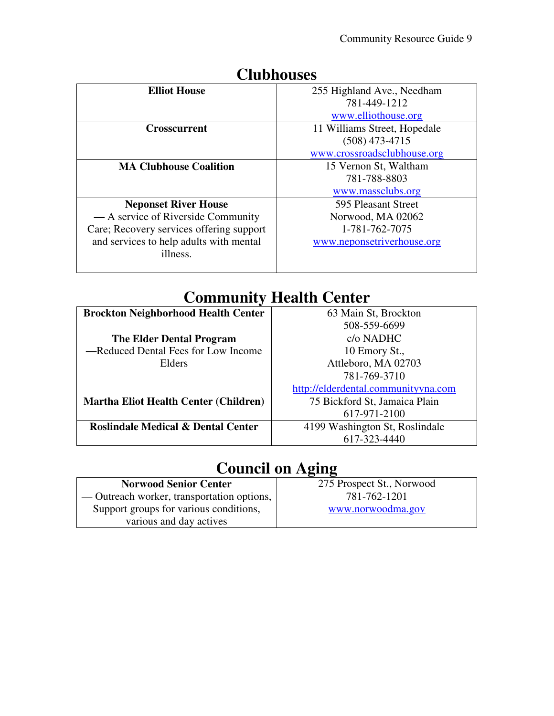| <b>Elliot House</b>                      | 255 Highland Ave., Needham   |
|------------------------------------------|------------------------------|
|                                          | 781-449-1212                 |
|                                          | www.elliothouse.org          |
| <b>Crosscurrent</b>                      | 11 Williams Street, Hopedale |
|                                          | $(508)$ 473-4715             |
|                                          | www.crossroadsclubhouse.org  |
| <b>MA Clubhouse Coalition</b>            | 15 Vernon St, Waltham        |
|                                          | 781-788-8803                 |
|                                          | www.massclubs.org            |
| <b>Neponset River House</b>              | 595 Pleasant Street          |
| — A service of Riverside Community       | Norwood, MA 02062            |
| Care; Recovery services offering support | 1-781-762-7075               |
| and services to help adults with mental  | www.neponsetriverhouse.org   |
| illness.                                 |                              |
|                                          |                              |

#### **Clubhouses**

## **Community Health Center**

| <b>Brockton Neighborhood Health Center</b>    | 63 Main St, Brockton                |
|-----------------------------------------------|-------------------------------------|
|                                               | 508-559-6699                        |
| <b>The Elder Dental Program</b>               | c/o NADHC                           |
| -Reduced Dental Fees for Low Income           | 10 Emory St.,                       |
| Elders                                        | Attleboro, MA 02703                 |
|                                               | 781-769-3710                        |
|                                               | http://elderdental.communityvna.com |
| <b>Martha Eliot Health Center (Children)</b>  | 75 Bickford St, Jamaica Plain       |
|                                               | 617-971-2100                        |
| <b>Roslindale Medical &amp; Dental Center</b> | 4199 Washington St, Roslindale      |
|                                               | 617-323-4440                        |

# **Council on Aging**

| <b>Norwood Senior Center</b>               | 275 Prospect St., Norwood |
|--------------------------------------------|---------------------------|
| — Outreach worker, transportation options, | 781-762-1201              |
| Support groups for various conditions,     | www.norwoodma.gov         |
| various and day actives                    |                           |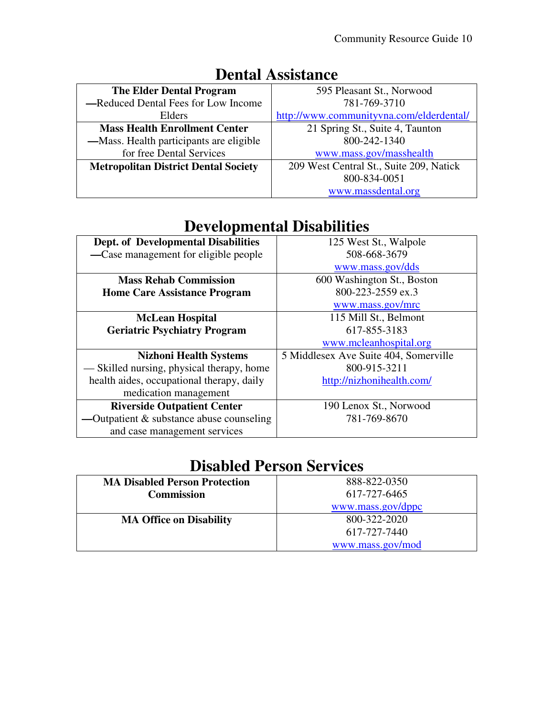| <b>The Elder Dental Program</b>             | 595 Pleasant St., Norwood                |
|---------------------------------------------|------------------------------------------|
| -Reduced Dental Fees for Low Income         | 781-769-3710                             |
| Elders                                      | http://www.communityvna.com/elderdental/ |
| <b>Mass Health Enrollment Center</b>        | 21 Spring St., Suite 4, Taunton          |
| —Mass. Health participants are eligible     | 800-242-1340                             |
| for free Dental Services                    | www.mass.gov/masshealth                  |
| <b>Metropolitan District Dental Society</b> | 209 West Central St., Suite 209, Natick  |
|                                             | 800-834-0051                             |
|                                             | www.massdental.org                       |

## **Dental Assistance**

#### **Developmental Disabilities**

| <b>Dept. of Developmental Disabilities</b> | 125 West St., Walpole                 |
|--------------------------------------------|---------------------------------------|
| —Case management for eligible people       | 508-668-3679                          |
|                                            | www.mass.gov/dds                      |
| <b>Mass Rehab Commission</b>               | 600 Washington St., Boston            |
| <b>Home Care Assistance Program</b>        | 800-223-2559 ex.3                     |
|                                            | www.mass.gov/mrc                      |
| <b>McLean Hospital</b>                     | 115 Mill St., Belmont                 |
| <b>Geriatric Psychiatry Program</b>        | 617-855-3183                          |
|                                            | www.mcleanhospital.org                |
| <b>Nizhoni Health Systems</b>              | 5 Middlesex Ave Suite 404, Somerville |
| — Skilled nursing, physical therapy, home  | 800-915-3211                          |
| health aides, occupational therapy, daily  | http://nizhonihealth.com/             |
| medication management                      |                                       |
| <b>Riverside Outpatient Center</b>         | 190 Lenox St., Norwood                |
| -Outpatient $&$ substance abuse counseling | 781-769-8670                          |
| and case management services               |                                       |

#### **Disabled Person Services**

| <b>MA Disabled Person Protection</b> | 888-822-0350      |
|--------------------------------------|-------------------|
| <b>Commission</b>                    | 617-727-6465      |
|                                      | www.mass.gov/dppc |
| <b>MA Office on Disability</b>       | 800-322-2020      |
|                                      | 617-727-7440      |
|                                      | www.mass.gov/mod  |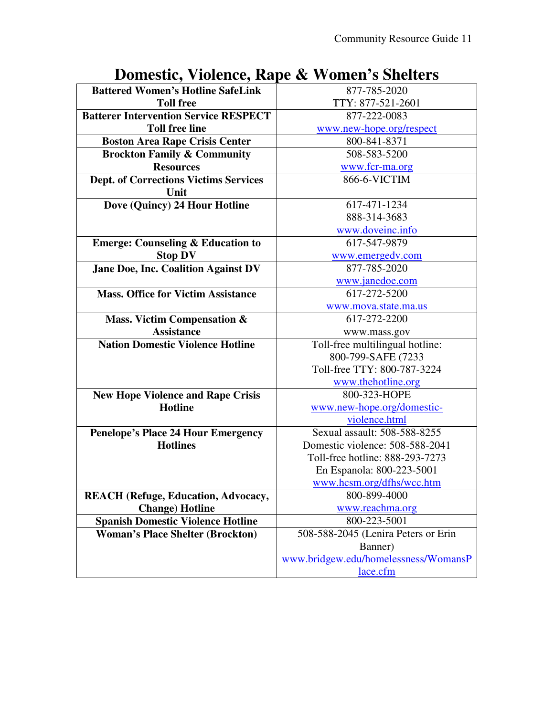| Domesin, violence, nape ee volmen s shencis  |                                      |
|----------------------------------------------|--------------------------------------|
| <b>Battered Women's Hotline SafeLink</b>     | 877-785-2020                         |
| <b>Toll free</b>                             | TTY: 877-521-2601                    |
| <b>Batterer Intervention Service RESPECT</b> | 877-222-0083                         |
| <b>Toll free line</b>                        | www.new-hope.org/respect             |
| <b>Boston Area Rape Crisis Center</b>        | 800-841-8371                         |
| <b>Brockton Family &amp; Community</b>       | 508-583-5200                         |
| <b>Resources</b>                             | www.fcr-ma.org                       |
| Dept. of Corrections Victims Services        | 866-6-VICTIM                         |
| Unit                                         |                                      |
| Dove (Quincy) 24 Hour Hotline                | 617-471-1234                         |
|                                              | 888-314-3683                         |
|                                              | www.doveinc.info                     |
| <b>Emerge: Counseling &amp; Education to</b> | 617-547-9879                         |
| <b>Stop DV</b>                               | www.emergedv.com                     |
| Jane Doe, Inc. Coalition Against DV          | 877-785-2020                         |
|                                              | www.janedoe.com                      |
| <b>Mass. Office for Victim Assistance</b>    | 617-272-5200                         |
|                                              | www.mova.state.ma.us                 |
| <b>Mass. Victim Compensation &amp;</b>       | 617-272-2200                         |
| <b>Assistance</b>                            | www.mass.gov                         |
| <b>Nation Domestic Violence Hotline</b>      | Toll-free multilingual hotline:      |
|                                              | 800-799-SAFE (7233                   |
|                                              | Toll-free TTY: 800-787-3224          |
|                                              | www.thehotline.org                   |
| <b>New Hope Violence and Rape Crisis</b>     | 800-323-HOPE                         |
| <b>Hotline</b>                               | www.new-hope.org/domestic-           |
|                                              | violence.html                        |
| <b>Penelope's Place 24 Hour Emergency</b>    | Sexual assault: 508-588-8255         |
| <b>Hotlines</b>                              | Domestic violence: 508-588-2041      |
|                                              | Toll-free hotline: 888-293-7273      |
|                                              | En Espanola: 800-223-5001            |
|                                              | www.hcsm.org/dfhs/wcc.htm            |
| <b>REACH</b> (Refuge, Education, Advocacy,   | 800-899-4000                         |
| <b>Change</b> ) Hotline                      | www.reachma.org                      |
| <b>Spanish Domestic Violence Hotline</b>     | 800-223-5001                         |
| <b>Woman's Place Shelter (Brockton)</b>      | 508-588-2045 (Lenira Peters or Erin  |
|                                              | Banner)                              |
|                                              | www.bridgew.edu/homelessness/WomansP |
|                                              | lace.cfm                             |

## **Domestic, Violence, Rape & Women's Shelters**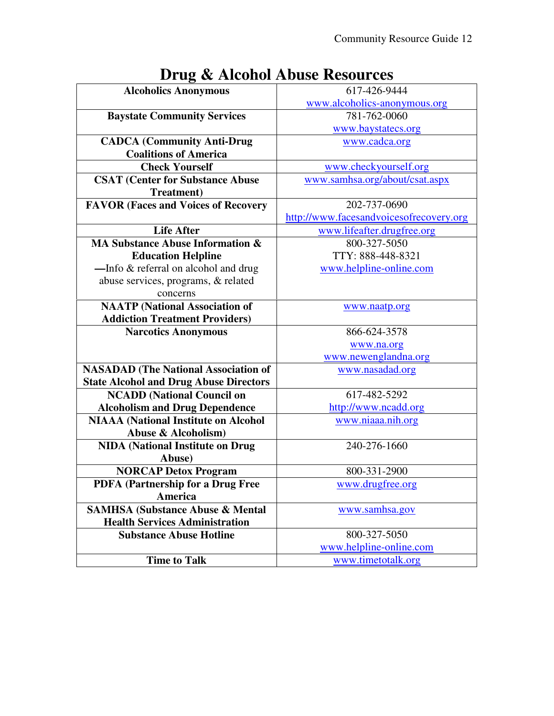|                                               | <b>Ding</b> & <i>Mondellouse Resources</i> |
|-----------------------------------------------|--------------------------------------------|
| <b>Alcoholics Anonymous</b>                   | 617-426-9444                               |
|                                               | www.alcoholics-anonymous.org               |
| <b>Baystate Community Services</b>            | 781-762-0060                               |
|                                               | www.baystatecs.org                         |
| <b>CADCA</b> (Community Anti-Drug             | www.cadca.org                              |
| <b>Coalitions of America</b>                  |                                            |
| <b>Check Yourself</b>                         | www.checkyourself.org                      |
| <b>CSAT (Center for Substance Abuse</b>       | www.samhsa.org/about/csat.aspx             |
| <b>Treatment</b> )                            |                                            |
| <b>FAVOR (Faces and Voices of Recovery</b>    | 202-737-0690                               |
|                                               | http://www.facesandvoicesofrecovery.org    |
| <b>Life After</b>                             | www.lifeafter.drugfree.org                 |
| <b>MA Substance Abuse Information &amp;</b>   | 800-327-5050                               |
| <b>Education Helpline</b>                     | TTY: 888-448-8321                          |
| -Info & referral on alcohol and drug          | www.helpline-online.com                    |
| abuse services, programs, & related           |                                            |
| concerns                                      |                                            |
| <b>NAATP</b> (National Association of         | www.naatp.org                              |
| <b>Addiction Treatment Providers)</b>         |                                            |
| <b>Narcotics Anonymous</b>                    | 866-624-3578                               |
|                                               | www.na.org                                 |
|                                               | www.newenglandna.org                       |
| <b>NASADAD</b> (The National Association of   | www.nasadad.org                            |
| <b>State Alcohol and Drug Abuse Directors</b> |                                            |
| <b>NCADD</b> (National Council on             | 617-482-5292                               |
| <b>Alcoholism and Drug Dependence</b>         | http://www.ncadd.org                       |
| <b>NIAAA</b> (National Institute on Alcohol   | www.niaaa.nih.org                          |
| Abuse & Alcoholism)                           |                                            |
| <b>NIDA</b> (National Institute on Drug       | 240-276-1660                               |
| Abuse)                                        |                                            |
| <b>NORCAP Detox Program</b>                   | 800-331-2900                               |
| PDFA (Partnership for a Drug Free             | www.drugfree.org                           |
| America                                       |                                            |
| <b>SAMHSA (Substance Abuse &amp; Mental</b>   | www.samhsa.gov                             |
| <b>Health Services Administration</b>         |                                            |
| <b>Substance Abuse Hotline</b>                | 800-327-5050                               |
|                                               | www.helpline-online.com                    |
| <b>Time to Talk</b>                           | www.timetotalk.org                         |

## **Drug & Alcohol Abuse Resources**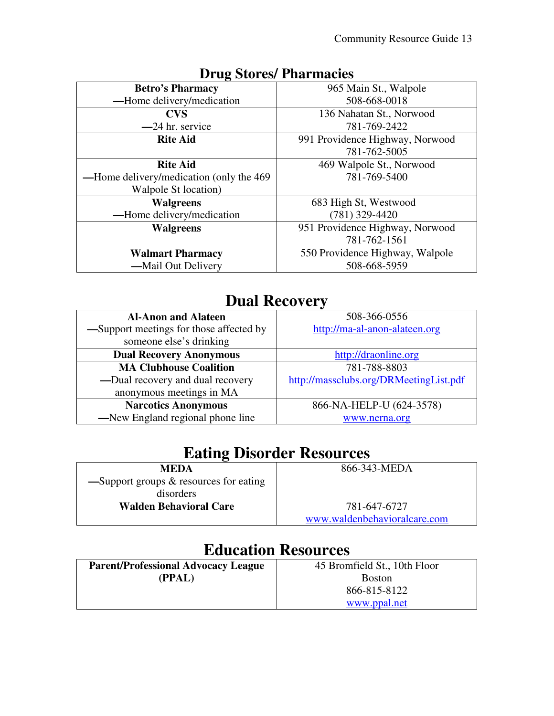| <b>Betro's Pharmacy</b>                  | 965 Main St., Walpole           |
|------------------------------------------|---------------------------------|
| -Home delivery/medication                | 508-668-0018                    |
| <b>CVS</b>                               | 136 Nahatan St., Norwood        |
| -24 hr. service                          | 781-769-2422                    |
| <b>Rite Aid</b>                          | 991 Providence Highway, Norwood |
|                                          | 781-762-5005                    |
| <b>Rite Aid</b>                          | 469 Walpole St., Norwood        |
| -Home delivery/medication (only the 469) | 781-769-5400                    |
| Walpole St location)                     |                                 |
| <b>Walgreens</b>                         | 683 High St, Westwood           |
| -Home delivery/medication                | $(781)$ 329-4420                |
| <b>Walgreens</b>                         | 951 Providence Highway, Norwood |
|                                          | 781-762-1561                    |
| <b>Walmart Pharmacy</b>                  | 550 Providence Highway, Walpole |
| -Mail Out Delivery                       | 508-668-5959                    |
|                                          |                                 |

#### **Drug Stores/ Pharmacies**

## **Dual Recovery**

| <b>Al-Anon and Alateen</b>              | 508-366-0556                           |
|-----------------------------------------|----------------------------------------|
| -Support meetings for those affected by | http://ma-al-anon-alateen.org          |
| someone else's drinking                 |                                        |
| <b>Dual Recovery Anonymous</b>          | http://draonline.org                   |
| <b>MA Clubhouse Coalition</b>           | 781-788-8803                           |
| -Dual recovery and dual recovery        | http://massclubs.org/DRMeetingList.pdf |
| anonymous meetings in MA                |                                        |
| <b>Narcotics Anonymous</b>              | 866-NA-HELP-U (624-3578)               |
| -New England regional phone line        | www.nerna.org                          |

| <b>Eating Disorder Resources</b> |  |
|----------------------------------|--|
|----------------------------------|--|

| <b>MEDA</b>                                                 | 866-343-MEDA                 |
|-------------------------------------------------------------|------------------------------|
| $\equiv$ Support groups & resources for eating<br>disorders |                              |
| <b>Walden Behavioral Care</b>                               | 781-647-6727                 |
|                                                             | www.waldenbehavioralcare.com |

## **Education Resources**

| <b>Parent/Professional Advocacy League</b> | 45 Bromfield St., 10th Floor |
|--------------------------------------------|------------------------------|
| (PPAL)                                     | <b>Boston</b>                |
|                                            | 866-815-8122                 |
|                                            | www.ppal.net                 |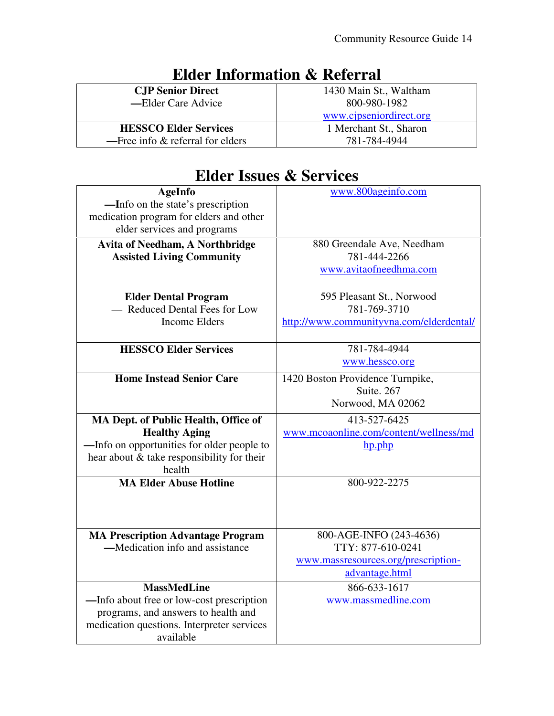| <b>CJP Senior Direct</b>                    | 1430 Main St., Waltham  |
|---------------------------------------------|-------------------------|
| —Elder Care Advice                          | 800-980-1982            |
|                                             | www.cjpseniordirect.org |
| <b>HESSCO Elder Services</b>                | 1 Merchant St., Sharon  |
| $\equiv$ Free info $\&$ referral for elders | 781-784-4944            |

# **Elder Information & Referral**

#### **Elder Issues & Services**

| <b>AgeInfo</b>                                                               | www.800ageinfo.com                       |
|------------------------------------------------------------------------------|------------------------------------------|
| —Info on the state's prescription<br>medication program for elders and other |                                          |
| elder services and programs                                                  |                                          |
| <b>Avita of Needham, A Northbridge</b>                                       | 880 Greendale Ave, Needham               |
| <b>Assisted Living Community</b>                                             | 781-444-2266                             |
|                                                                              | www.avitaofneedhma.com                   |
|                                                                              |                                          |
| <b>Elder Dental Program</b>                                                  | 595 Pleasant St., Norwood                |
| - Reduced Dental Fees for Low                                                | 781-769-3710                             |
| <b>Income Elders</b>                                                         | http://www.communityvna.com/elderdental/ |
| <b>HESSCO Elder Services</b>                                                 | 781-784-4944                             |
|                                                                              | www.hessco.org                           |
|                                                                              |                                          |
| <b>Home Instead Senior Care</b>                                              | 1420 Boston Providence Turnpike,         |
|                                                                              | Suite, 267<br>Norwood, MA 02062          |
|                                                                              |                                          |
|                                                                              |                                          |
| MA Dept. of Public Health, Office of                                         | 413-527-6425                             |
| <b>Healthy Aging</b>                                                         | www.mcoaonline.com/content/wellness/md   |
| —Info on opportunities for older people to                                   | hp.php                                   |
| hear about & take responsibility for their                                   |                                          |
| health                                                                       |                                          |
| <b>MA Elder Abuse Hotline</b>                                                | 800-922-2275                             |
|                                                                              |                                          |
|                                                                              |                                          |
| <b>MA Prescription Advantage Program</b>                                     | 800-AGE-INFO (243-4636)                  |
| —Medication info and assistance                                              | TTY: 877-610-0241                        |
|                                                                              | www.massresources.org/prescription-      |
|                                                                              | advantage.html                           |
| <b>MassMedLine</b>                                                           | 866-633-1617                             |
| -Info about free or low-cost prescription                                    | www.massmedline.com                      |
| programs, and answers to health and                                          |                                          |
| medication questions. Interpreter services<br>available                      |                                          |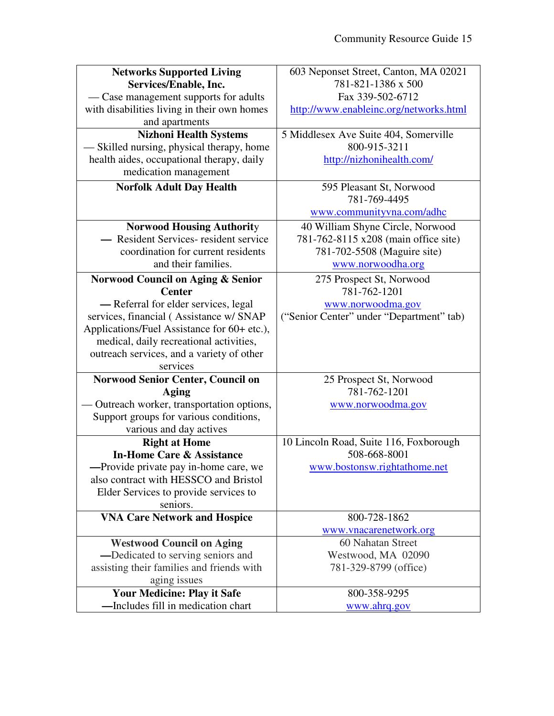| <b>Networks Supported Living</b>                                      | 603 Neponset Street, Canton, MA 02021    |
|-----------------------------------------------------------------------|------------------------------------------|
| Services/Enable, Inc.                                                 | 781-821-1386 x 500                       |
| — Case management supports for adults                                 | Fax 339-502-6712                         |
| with disabilities living in their own homes                           | http://www.enableinc.org/networks.html   |
| and apartments                                                        |                                          |
| <b>Nizhoni Health Systems</b>                                         | 5 Middlesex Ave Suite 404, Somerville    |
| — Skilled nursing, physical therapy, home                             | 800-915-3211                             |
| health aides, occupational therapy, daily                             | http://nizhonihealth.com/                |
| medication management                                                 |                                          |
| <b>Norfolk Adult Day Health</b>                                       | 595 Pleasant St, Norwood                 |
|                                                                       | 781-769-4495                             |
|                                                                       | www.communityvna.com/adhc                |
| <b>Norwood Housing Authority</b>                                      | 40 William Shyne Circle, Norwood         |
| - Resident Services-resident service                                  | 781-762-8115 x208 (main office site)     |
| coordination for current residents                                    | 781-702-5508 (Maguire site)              |
| and their families.                                                   | www.norwoodha.org                        |
| <b>Norwood Council on Aging &amp; Senior</b>                          | 275 Prospect St, Norwood                 |
| <b>Center</b>                                                         | 781-762-1201                             |
| - Referral for elder services, legal                                  | www.norwoodma.gov                        |
| services, financial (Assistance w/ SNAP                               | ("Senior Center" under "Department" tab) |
| Applications/Fuel Assistance for 60+ etc.),                           |                                          |
| medical, daily recreational activities,                               |                                          |
| outreach services, and a variety of other                             |                                          |
| services                                                              |                                          |
| <b>Norwood Senior Center, Council on</b>                              | 25 Prospect St, Norwood                  |
| <b>Aging</b>                                                          | 781-762-1201                             |
| Outreach worker, transportation options,                              | www.norwoodma.gov                        |
| Support groups for various conditions,                                |                                          |
| various and day actives                                               |                                          |
| <b>Right at Home</b>                                                  | 10 Lincoln Road, Suite 116, Foxborough   |
| <b>In-Home Care &amp; Assistance</b>                                  | 508-668-8001                             |
| -Provide private pay in-home care, we                                 | www.bostonsw.rightathome.net             |
| also contract with HESSCO and Bristol                                 |                                          |
| Elder Services to provide services to                                 |                                          |
| seniors.                                                              | 800-728-1862                             |
| <b>VNA Care Network and Hospice</b>                                   |                                          |
|                                                                       | www.vnacarenetwork.org                   |
| <b>Westwood Council on Aging</b><br>-Dedicated to serving seniors and | 60 Nahatan Street<br>Westwood, MA 02090  |
| assisting their families and friends with                             | 781-329-8799 (office)                    |
|                                                                       |                                          |
| aging issues<br><b>Your Medicine: Play it Safe</b>                    | 800-358-9295                             |
| -Includes fill in medication chart                                    | www.ahrq.gov                             |
|                                                                       |                                          |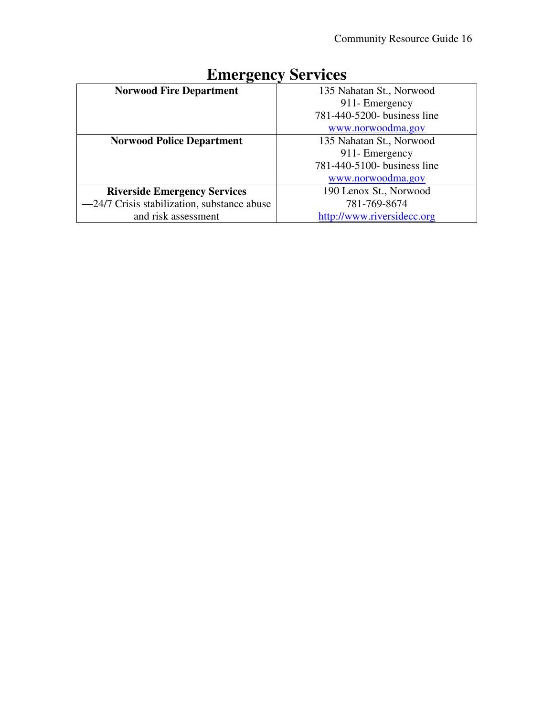| . ,                                         | ∙                           |
|---------------------------------------------|-----------------------------|
| <b>Norwood Fire Department</b>              | 135 Nahatan St., Norwood    |
|                                             | 911- Emergency              |
|                                             | 781-440-5200- business line |
|                                             | www.norwoodma.gov           |
| <b>Norwood Police Department</b>            | 135 Nahatan St., Norwood    |
|                                             | 911- Emergency              |
|                                             | 781-440-5100- business line |
|                                             | www.norwoodma.gov           |
| <b>Riverside Emergency Services</b>         | 190 Lenox St., Norwood      |
| -24/7 Crisis stabilization, substance abuse | 781-769-8674                |
| and risk assessment                         | http://www.riversidecc.org  |

## **Emergency Services**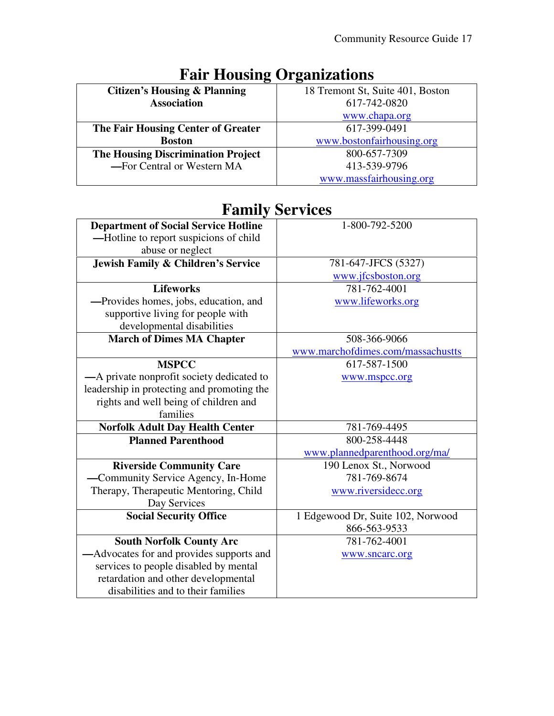| o                                         | o                                |
|-------------------------------------------|----------------------------------|
| <b>Citizen's Housing &amp; Planning</b>   | 18 Tremont St, Suite 401, Boston |
| <b>Association</b>                        | 617-742-0820                     |
|                                           | www.chapa.org                    |
| The Fair Housing Center of Greater        | 617-399-0491                     |
| <b>Boston</b>                             | www.bostonfairhousing.org        |
| <b>The Housing Discrimination Project</b> | 800-657-7309                     |
| -For Central or Western MA                | 413-539-9796                     |
|                                           | www.massfairhousing.org          |

# **Fair Housing Organizations**

#### **Family Services**

| <b>Department of Social Service Hotline</b> | 1-800-792-5200                    |
|---------------------------------------------|-----------------------------------|
| -Hotline to report suspicions of child      |                                   |
| abuse or neglect                            |                                   |
| Jewish Family & Children's Service          | 781-647-JFCS (5327)               |
|                                             | www.jfcsboston.org                |
| <b>Lifeworks</b>                            | 781-762-4001                      |
| -Provides homes, jobs, education, and       | www.lifeworks.org                 |
| supportive living for people with           |                                   |
| developmental disabilities                  |                                   |
| <b>March of Dimes MA Chapter</b>            | 508-366-9066                      |
|                                             | www.marchofdimes.com/massachustts |
| <b>MSPCC</b>                                | 617-587-1500                      |
| -A private nonprofit society dedicated to   | www.mspcc.org                     |
| leadership in protecting and promoting the  |                                   |
| rights and well being of children and       |                                   |
| families                                    |                                   |
| <b>Norfolk Adult Day Health Center</b>      | 781-769-4495                      |
| <b>Planned Parenthood</b>                   | 800-258-4448                      |
|                                             | www.plannedparenthood.org/ma/     |
| <b>Riverside Community Care</b>             | 190 Lenox St., Norwood            |
| -Community Service Agency, In-Home          | 781-769-8674                      |
| Therapy, Therapeutic Mentoring, Child       | www.riversidecc.org               |
| Day Services                                |                                   |
| <b>Social Security Office</b>               | 1 Edgewood Dr, Suite 102, Norwood |
|                                             | 866-563-9533                      |
| <b>South Norfolk County Arc</b>             | 781-762-4001                      |
| -Advocates for and provides supports and    | www.sncarc.org                    |
| services to people disabled by mental       |                                   |
| retardation and other developmental         |                                   |
| disabilities and to their families          |                                   |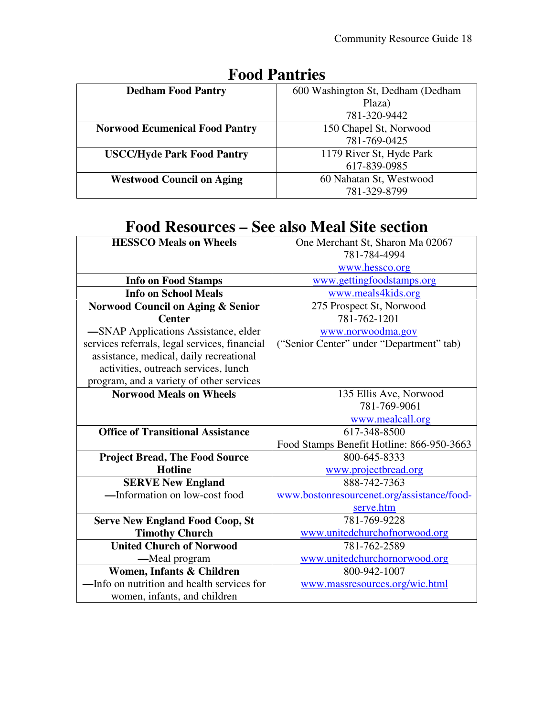| <b>Dedham Food Pantry</b>             | 600 Washington St, Dedham (Dedham |
|---------------------------------------|-----------------------------------|
|                                       | Plaza)                            |
|                                       | 781-320-9442                      |
| <b>Norwood Ecumenical Food Pantry</b> | 150 Chapel St, Norwood            |
|                                       | 781-769-0425                      |
| <b>USCC/Hyde Park Food Pantry</b>     | 1179 River St, Hyde Park          |
|                                       | 617-839-0985                      |
| <b>Westwood Council on Aging</b>      | 60 Nahatan St, Westwood           |
|                                       | 781-329-8799                      |

#### **Food Pantries**

## **Food Resources – See also Meal Site section**

| <b>HESSCO Meals on Wheels</b>                 | One Merchant St, Sharon Ma 02067<br>781-784-4994 |
|-----------------------------------------------|--------------------------------------------------|
|                                               | www.hessco.org                                   |
| <b>Info on Food Stamps</b>                    | www.gettingfoodstamps.org                        |
| <b>Info on School Meals</b>                   | www.meals4kids.org                               |
| <b>Norwood Council on Aging &amp; Senior</b>  | 275 Prospect St, Norwood                         |
| <b>Center</b>                                 | 781-762-1201                                     |
| -SNAP Applications Assistance, elder          | www.norwoodma.gov                                |
| services referrals, legal services, financial | ("Senior Center" under "Department" tab)         |
| assistance, medical, daily recreational       |                                                  |
| activities, outreach services, lunch          |                                                  |
| program, and a variety of other services      |                                                  |
| <b>Norwood Meals on Wheels</b>                | 135 Ellis Ave, Norwood                           |
|                                               | 781-769-9061                                     |
|                                               | www.mealcall.org                                 |
| <b>Office of Transitional Assistance</b>      | 617-348-8500                                     |
|                                               | Food Stamps Benefit Hotline: 866-950-3663        |
| <b>Project Bread, The Food Source</b>         | 800-645-8333                                     |
| <b>Hotline</b>                                | www.projectbread.org                             |
| <b>SERVE New England</b>                      | 888-742-7363                                     |
| -Information on low-cost food                 | www.bostonresourcenet.org/assistance/food-       |
|                                               | serve.htm                                        |
| <b>Serve New England Food Coop, St</b>        | 781-769-9228                                     |
| <b>Timothy Church</b>                         | www.unitedchurchofnorwood.org                    |
| <b>United Church of Norwood</b>               | 781-762-2589                                     |
| —Meal program                                 | www.unitedchurchornorwood.org                    |
| Women, Infants & Children                     | 800-942-1007                                     |
| -Info on nutrition and health services for    | www.massresources.org/wic.html                   |
| women, infants, and children                  |                                                  |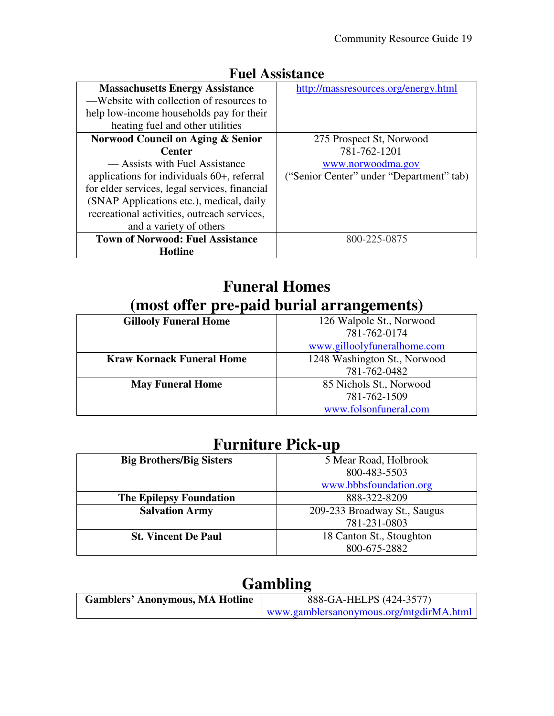| т ист тоогошисс                               |                                          |
|-----------------------------------------------|------------------------------------------|
| <b>Massachusetts Energy Assistance</b>        | http://massresources.org/energy.html     |
| —Website with collection of resources to      |                                          |
| help low-income households pay for their      |                                          |
| heating fuel and other utilities              |                                          |
| Norwood Council on Aging & Senior             | 275 Prospect St, Norwood                 |
| <b>Center</b>                                 | 781-762-1201                             |
| — Assists with Fuel Assistance                | www.norwoodma.gov                        |
| applications for individuals 60+, referral    | ("Senior Center" under "Department" tab) |
| for elder services, legal services, financial |                                          |
| (SNAP Applications etc.), medical, daily      |                                          |
| recreational activities, outreach services,   |                                          |
| and a variety of others                       |                                          |
| <b>Town of Norwood: Fuel Assistance</b>       | 800-225-0875                             |
| Hotline                                       |                                          |

#### **Fuel Assistance**

#### **Funeral Homes (most offer pre-paid burial arrangements)**

| <b>Gillooly Funeral Home</b>     | 126 Walpole St., Norwood     |
|----------------------------------|------------------------------|
|                                  | 781-762-0174                 |
|                                  | www.gilloolyfuneralhome.com  |
| <b>Kraw Kornack Funeral Home</b> | 1248 Washington St., Norwood |
|                                  | 781-762-0482                 |
| <b>May Funeral Home</b>          | 85 Nichols St., Norwood      |
|                                  | 781-762-1509                 |
|                                  | www.folsonfuneral.com        |

#### **Furniture Pick-up**

| <b>Big Brothers/Big Sisters</b> | 5 Mear Road, Holbrook        |
|---------------------------------|------------------------------|
|                                 | 800-483-5503                 |
|                                 | www.bbbsfoundation.org       |
| <b>The Epilepsy Foundation</b>  | 888-322-8209                 |
| <b>Salvation Army</b>           | 209-233 Broadway St., Saugus |
|                                 | 781-231-0803                 |
| <b>St. Vincent De Paul</b>      | 18 Canton St., Stoughton     |
|                                 | 800-675-2882                 |

#### **Gambling**

| <b>Gamblers' Anonymous, MA Hotline</b> | 888-GA-HELPS (424-3577)                 |
|----------------------------------------|-----------------------------------------|
|                                        | www.gamblersanonymous.org/mtgdirMA.html |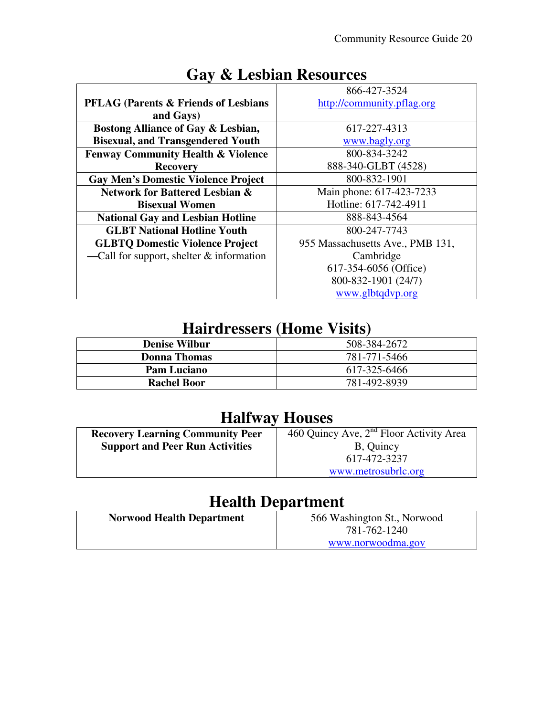|                                                  | 866-427-3524                     |
|--------------------------------------------------|----------------------------------|
|                                                  |                                  |
| <b>PFLAG (Parents &amp; Friends of Lesbians)</b> | http://community.pflag.org       |
| and Gays)                                        |                                  |
| Bostong Alliance of Gay & Lesbian,               | 617-227-4313                     |
| <b>Bisexual, and Transgendered Youth</b>         | www.bagly.org                    |
| <b>Fenway Community Health &amp; Violence</b>    | 800-834-3242                     |
| <b>Recovery</b>                                  | 888-340-GLBT (4528)              |
| <b>Gay Men's Domestic Violence Project</b>       | 800-832-1901                     |
| <b>Network for Battered Lesbian &amp;</b>        | Main phone: 617-423-7233         |
| <b>Bisexual Women</b>                            | Hotline: 617-742-4911            |
| <b>National Gay and Lesbian Hotline</b>          | 888-843-4564                     |
| <b>GLBT National Hotline Youth</b>               | 800-247-7743                     |
| <b>GLBTQ Domestic Violence Project</b>           | 955 Massachusetts Ave., PMB 131, |
| -Call for support, shelter $&$ information       | Cambridge                        |
|                                                  | 617-354-6056 (Office)            |
|                                                  | 800-832-1901 (24/7)              |
|                                                  | www.glbtqdvp.org                 |

## **Gay & Lesbian Resources**

## **Hairdressers (Home Visits)**

| <b>Denise Wilbur</b> | 508-384-2672 |
|----------------------|--------------|
| Donna Thomas         | 781-771-5466 |
| <b>Pam Luciano</b>   | 617-325-6466 |
| <b>Rachel Boor</b>   | 781-492-8939 |

## **Halfway Houses**

| <b>Recovery Learning Community Peer</b> | 460 Quincy Ave, $2nd$ Floor Activity Area |
|-----------------------------------------|-------------------------------------------|
| <b>Support and Peer Run Activities</b>  | B, Quincy                                 |
|                                         | 617-472-3237                              |
|                                         | www.metrosubrlc.org                       |
|                                         |                                           |

## **Health Department**

| <b>Norwood Health Department</b> | 566 Washington St., Norwood       |
|----------------------------------|-----------------------------------|
|                                  | 781-762-1240<br>www.norwoodma.gov |
|                                  |                                   |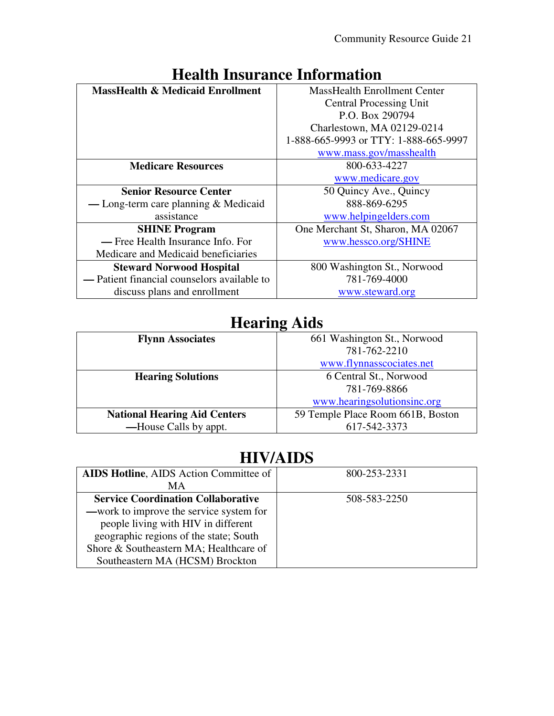| rtanin mbanante mnominativn                 |                                       |
|---------------------------------------------|---------------------------------------|
| <b>MassHealth &amp; Medicaid Enrollment</b> | <b>MassHealth Enrollment Center</b>   |
|                                             | <b>Central Processing Unit</b>        |
|                                             | P.O. Box 290794                       |
|                                             | Charlestown, MA 02129-0214            |
|                                             | 1-888-665-9993 or TTY: 1-888-665-9997 |
|                                             | www.mass.gov/masshealth               |
| <b>Medicare Resources</b>                   | 800-633-4227                          |
|                                             | www.medicare.gov                      |
| <b>Senior Resource Center</b>               | 50 Quincy Ave., Quincy                |
| — Long-term care planning $&$ Medicaid      | 888-869-6295                          |
| assistance                                  | www.helpingelders.com                 |
| <b>SHINE Program</b>                        | One Merchant St, Sharon, MA 02067     |
| — Free Health Insurance Info. For           | www.hessco.org/SHINE                  |
| Medicare and Medicaid beneficiaries         |                                       |
| <b>Steward Norwood Hospital</b>             | 800 Washington St., Norwood           |
| — Patient financial counselors available to | 781-769-4000                          |
| discuss plans and enrollment                | www.steward.org                       |
|                                             |                                       |

## **Health Insurance Information**

## **Hearing Aids**

|                                     | o                                 |
|-------------------------------------|-----------------------------------|
| <b>Flynn Associates</b>             | 661 Washington St., Norwood       |
|                                     | 781-762-2210                      |
|                                     | www.flynnasscociates.net          |
| <b>Hearing Solutions</b>            | 6 Central St., Norwood            |
|                                     | 781-769-8866                      |
|                                     | www.hearingsolutionsinc.org       |
| <b>National Hearing Aid Centers</b> | 59 Temple Place Room 661B, Boston |
| —House Calls by appt.               | 617-542-3373                      |
|                                     |                                   |

## **HIV/AIDS**

| <b>AIDS Hotline, AIDS Action Committee of</b> | 800-253-2331 |
|-----------------------------------------------|--------------|
| MА                                            |              |
| <b>Service Coordination Collaborative</b>     | 508-583-2250 |
| —work to improve the service system for       |              |
| people living with HIV in different           |              |
| geographic regions of the state; South        |              |
| Shore & Southeastern MA; Healthcare of        |              |
| Southeastern MA (HCSM) Brockton               |              |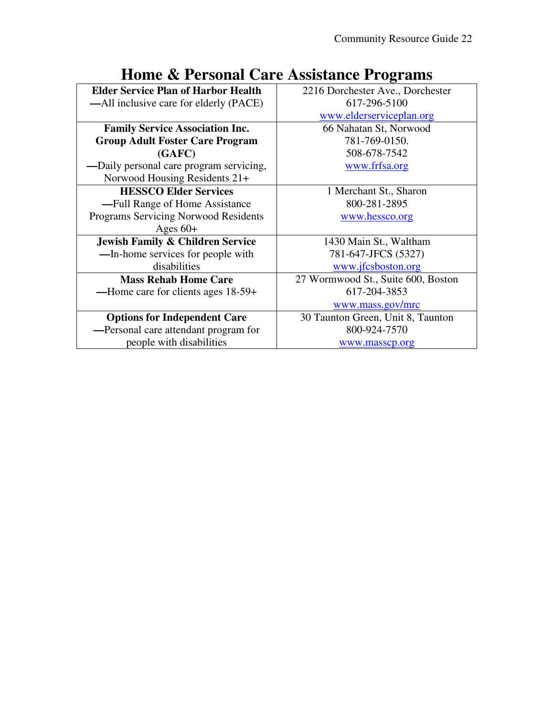| <b>Elder Service Plan of Harbor Health</b>  | 2216 Dorchester Ave., Dorchester   |
|---------------------------------------------|------------------------------------|
| —All inclusive care for elderly (PACE)      | 617-296-5100                       |
|                                             | www.elderserviceplan.org           |
| <b>Family Service Association Inc.</b>      | 66 Nahatan St, Norwood             |
| <b>Group Adult Foster Care Program</b>      | 781-769-0150.                      |
| (GAFC)                                      | 508-678-7542                       |
| -Daily personal care program servicing,     | www.frfsa.org                      |
| Norwood Housing Residents 21+               |                                    |
| <b>HESSCO Elder Services</b>                | 1 Merchant St., Sharon             |
| -Full Range of Home Assistance              | 800-281-2895                       |
| <b>Programs Servicing Norwood Residents</b> | www.hessco.org                     |
| Ages $60+$                                  |                                    |
| <b>Jewish Family &amp; Children Service</b> | 1430 Main St., Waltham             |
| -In-home services for people with           | 781-647-JFCS (5327)                |
| disabilities                                | www.jfcsboston.org                 |
| <b>Mass Rehab Home Care</b>                 | 27 Wormwood St., Suite 600, Boston |
| —Home care for clients ages 18-59+          | 617-204-3853                       |
|                                             | www.mass.gov/mrc                   |
| <b>Options for Independent Care</b>         | 30 Taunton Green, Unit 8, Taunton  |
| -Personal care attendant program for        | 800-924-7570                       |
| people with disabilities                    | www.masscp.org                     |
|                                             |                                    |

## **Home & Personal Care Assistance Programs**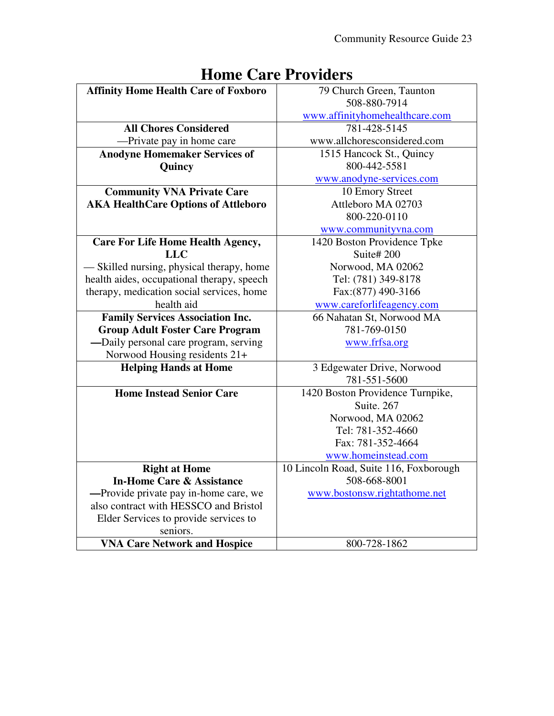| <b>Affinity Home Health Care of Foxboro</b> | 79 Church Green, Taunton               |
|---------------------------------------------|----------------------------------------|
|                                             | 508-880-7914                           |
|                                             |                                        |
|                                             | www.affinityhomehealthcare.com         |
| <b>All Chores Considered</b>                | 781-428-5145                           |
| -Private pay in home care                   | www.allchoresconsidered.com            |
| <b>Anodyne Homemaker Services of</b>        | 1515 Hancock St., Quincy               |
| Quincy                                      | 800-442-5581                           |
|                                             | www.anodyne-services.com               |
| <b>Community VNA Private Care</b>           | 10 Emory Street                        |
| <b>AKA HealthCare Options of Attleboro</b>  | Attleboro MA 02703                     |
|                                             | 800-220-0110                           |
|                                             | www.communityvna.com                   |
| <b>Care For Life Home Health Agency,</b>    | 1420 Boston Providence Tpke            |
| <b>LLC</b>                                  | Suite# 200                             |
| — Skilled nursing, physical therapy, home   | Norwood, MA 02062                      |
| health aides, occupational therapy, speech  | Tel: (781) 349-8178                    |
| therapy, medication social services, home   | Fax: (877) 490-3166                    |
| health aid                                  | www.careforlifeagency.com              |
| <b>Family Services Association Inc.</b>     | 66 Nahatan St, Norwood MA              |
| <b>Group Adult Foster Care Program</b>      | 781-769-0150                           |
| -Daily personal care program, serving       | www.frfsa.org                          |
| Norwood Housing residents 21+               |                                        |
| <b>Helping Hands at Home</b>                | 3 Edgewater Drive, Norwood             |
|                                             | 781-551-5600                           |
| <b>Home Instead Senior Care</b>             | 1420 Boston Providence Turnpike,       |
|                                             | Suite, 267                             |
|                                             | Norwood, MA 02062                      |
|                                             | Tel: 781-352-4660                      |
|                                             | Fax: 781-352-4664                      |
|                                             | www.homeinstead.com                    |
| <b>Right at Home</b>                        | 10 Lincoln Road, Suite 116, Foxborough |
| <b>In-Home Care &amp; Assistance</b>        | 508-668-8001                           |
| -Provide private pay in-home care, we       | www.bostonsw.rightathome.net           |
| also contract with HESSCO and Bristol       |                                        |
| Elder Services to provide services to       |                                        |
| seniors.                                    |                                        |
| <b>VNA Care Network and Hospice</b>         | 800-728-1862                           |

## **Home Care Providers**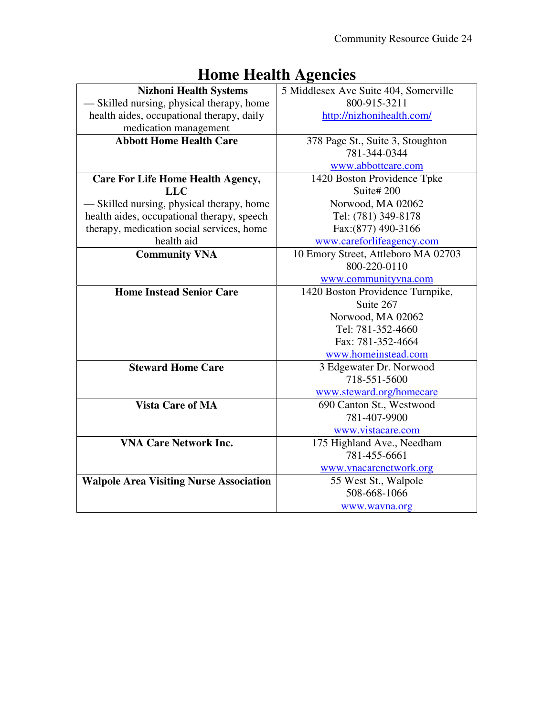| <b>Nizhoni Health Systems</b>                  | 5 Middlesex Ave Suite 404, Somerville |
|------------------------------------------------|---------------------------------------|
| — Skilled nursing, physical therapy, home      | 800-915-3211                          |
| health aides, occupational therapy, daily      | http://nizhonihealth.com/             |
| medication management                          |                                       |
| <b>Abbott Home Health Care</b>                 | 378 Page St., Suite 3, Stoughton      |
|                                                | 781-344-0344                          |
|                                                | www.abbottcare.com                    |
| <b>Care For Life Home Health Agency,</b>       | 1420 Boston Providence Tpke           |
| <b>LLC</b>                                     | Suite#200                             |
| — Skilled nursing, physical therapy, home      | Norwood, MA 02062                     |
| health aides, occupational therapy, speech     | Tel: (781) 349-8178                   |
| therapy, medication social services, home      | Fax: (877) 490-3166                   |
| health aid                                     | www.careforlifeagency.com             |
| <b>Community VNA</b>                           | 10 Emory Street, Attleboro MA 02703   |
|                                                | 800-220-0110                          |
|                                                | www.communityvna.com                  |
| <b>Home Instead Senior Care</b>                | 1420 Boston Providence Turnpike,      |
|                                                | Suite 267                             |
|                                                | Norwood, MA 02062                     |
|                                                | Tel: 781-352-4660                     |
|                                                | Fax: 781-352-4664                     |
|                                                | www.homeinstead.com                   |
| <b>Steward Home Care</b>                       | 3 Edgewater Dr. Norwood               |
|                                                | 718-551-5600                          |
|                                                | www.steward.org/homecare              |
| <b>Vista Care of MA</b>                        | 690 Canton St., Westwood              |
|                                                | 781-407-9900                          |
|                                                | www.vistacare.com                     |
| <b>VNA Care Network Inc.</b>                   | 175 Highland Ave., Needham            |
|                                                | 781-455-6661                          |
|                                                | www.vnacarenetwork.org                |
| <b>Walpole Area Visiting Nurse Association</b> | 55 West St., Walpole                  |
|                                                | 508-668-1066                          |
|                                                | www.wavna.org                         |

## **Home Health Agencies**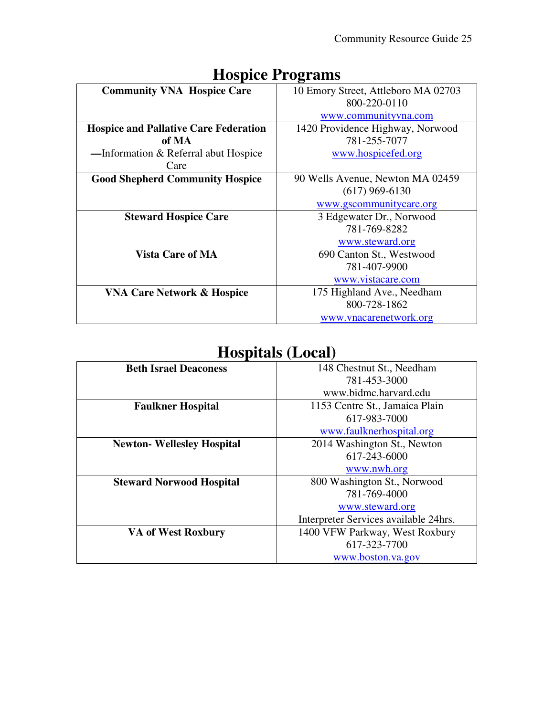| <b>Community VNA Hospice Care</b>            | 10 Emory Street, Attleboro MA 02703 |
|----------------------------------------------|-------------------------------------|
|                                              | 800-220-0110                        |
|                                              | www.communityvna.com                |
| <b>Hospice and Pallative Care Federation</b> | 1420 Providence Highway, Norwood    |
| of MA                                        | 781-255-7077                        |
| —Information & Referral abut Hospice         | www.hospicefed.org                  |
| Care                                         |                                     |
| <b>Good Shepherd Community Hospice</b>       | 90 Wells Avenue, Newton MA 02459    |
|                                              | $(617)$ 969-6130                    |
|                                              | www.gscommunitycare.org             |
| <b>Steward Hospice Care</b>                  | 3 Edgewater Dr., Norwood            |
|                                              | 781-769-8282                        |
|                                              | www.steward.org                     |
| <b>Vista Care of MA</b>                      | 690 Canton St., Westwood            |
|                                              | 781-407-9900                        |
|                                              | www.vistacare.com                   |
| <b>VNA Care Network &amp; Hospice</b>        | 175 Highland Ave., Needham          |
|                                              | 800-728-1862                        |
|                                              | www.vnacarenetwork.org              |

## **Hospice Programs**

## **Hospitals (Local)**

| 148 Chestnut St., Needham<br><b>Beth Israel Deaconess</b><br>781-453-3000<br>www.bidmc.harvard.edu<br>1153 Centre St., Jamaica Plain<br><b>Faulkner Hospital</b><br>617-983-7000 |
|----------------------------------------------------------------------------------------------------------------------------------------------------------------------------------|
|                                                                                                                                                                                  |
|                                                                                                                                                                                  |
|                                                                                                                                                                                  |
|                                                                                                                                                                                  |
|                                                                                                                                                                                  |
| www.faulknerhospital.org                                                                                                                                                         |
| 2014 Washington St., Newton<br><b>Newton-Wellesley Hospital</b>                                                                                                                  |
| 617-243-6000                                                                                                                                                                     |
| www.nwh.org                                                                                                                                                                      |
| 800 Washington St., Norwood<br><b>Steward Norwood Hospital</b>                                                                                                                   |
| 781-769-4000                                                                                                                                                                     |
| www.steward.org                                                                                                                                                                  |
| Interpreter Services available 24hrs.                                                                                                                                            |
| 1400 VFW Parkway, West Roxbury<br><b>VA of West Roxbury</b>                                                                                                                      |
| 617-323-7700                                                                                                                                                                     |
| www.boston.va.gov                                                                                                                                                                |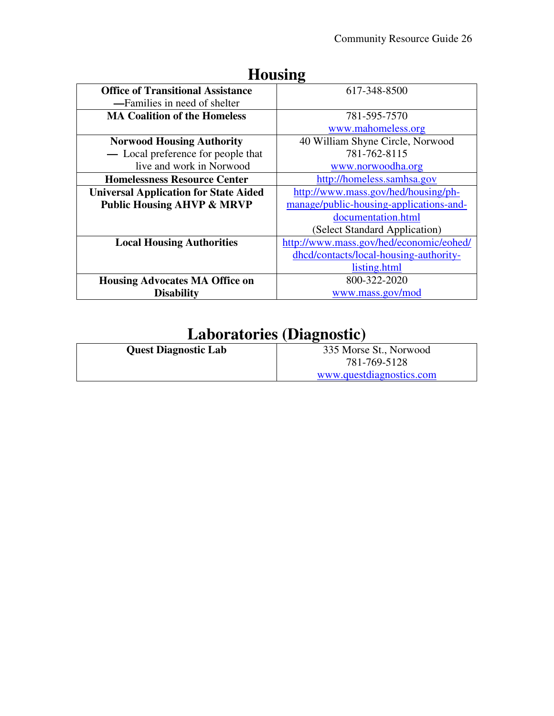|                                              | LIVUJILIA                               |
|----------------------------------------------|-----------------------------------------|
| <b>Office of Transitional Assistance</b>     | 617-348-8500                            |
| —Families in need of shelter                 |                                         |
| <b>MA Coalition of the Homeless</b>          | 781-595-7570                            |
|                                              | www.mahomeless.org                      |
| <b>Norwood Housing Authority</b>             | 40 William Shyne Circle, Norwood        |
| - Local preference for people that           | 781-762-8115                            |
| live and work in Norwood                     | www.norwoodha.org                       |
| <b>Homelessness Resource Center</b>          | http://homeless.samhsa.gov              |
| <b>Universal Application for State Aided</b> | http://www.mass.gov/hed/housing/ph-     |
| <b>Public Housing AHVP &amp; MRVP</b>        | manage/public-housing-applications-and- |
|                                              | documentation.html                      |
|                                              | (Select Standard Application)           |
| <b>Local Housing Authorities</b>             | http://www.mass.gov/hed/economic/eohed/ |
|                                              | dhcd/contacts/local-housing-authority-  |
|                                              | listing.html                            |
| <b>Housing Advocates MA Office on</b>        | 800-322-2020                            |
| <b>Disability</b>                            | www.mass.gov/mod                        |

#### **Housing**

# **Laboratories (Diagnostic)**

| <b>Quest Diagnostic Lab</b> | 335 Morse St., Norwood   |
|-----------------------------|--------------------------|
|                             | 781-769-5128             |
|                             | www.questdiagnostics.com |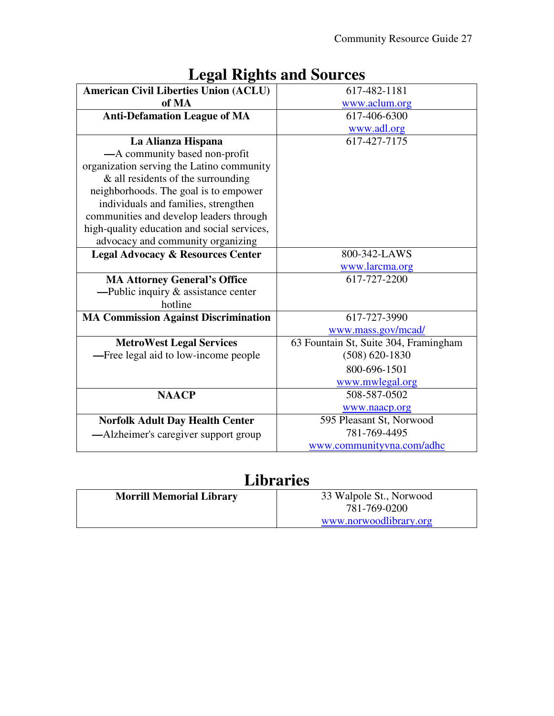|                                              | LUZAI INIZINS AHU DUULUS              |
|----------------------------------------------|---------------------------------------|
| <b>American Civil Liberties Union (ACLU)</b> | 617-482-1181                          |
| of MA                                        | www.aclum.org                         |
| <b>Anti-Defamation League of MA</b>          | 617-406-6300                          |
|                                              | www.adl.org                           |
| La Alianza Hispana                           | 617-427-7175                          |
| -A community based non-profit                |                                       |
| organization serving the Latino community    |                                       |
| $\&$ all residents of the surrounding        |                                       |
| neighborhoods. The goal is to empower        |                                       |
| individuals and families, strengthen         |                                       |
| communities and develop leaders through      |                                       |
| high-quality education and social services,  |                                       |
| advocacy and community organizing            |                                       |
| <b>Legal Advocacy &amp; Resources Center</b> | 800-342-LAWS                          |
|                                              | www.larcma.org                        |
| <b>MA Attorney General's Office</b>          | 617-727-2200                          |
| -Public inquiry $\&$ assistance center       |                                       |
| hotline                                      |                                       |
| <b>MA Commission Against Discrimination</b>  | 617-727-3990                          |
|                                              | www.mass.gov/mcad/                    |
| <b>MetroWest Legal Services</b>              | 63 Fountain St, Suite 304, Framingham |
| -Free legal aid to low-income people         | $(508) 620 - 1830$                    |
|                                              | 800-696-1501                          |
|                                              | www.mwlegal.org                       |
| <b>NAACP</b>                                 | 508-587-0502                          |
|                                              | www.naacp.org                         |
| <b>Norfolk Adult Day Health Center</b>       | 595 Pleasant St, Norwood              |
| —Alzheimer's caregiver support group         | 781-769-4495                          |
|                                              | www.communityvna.com/adhc             |

#### **Legal Rights and Sources**

## **Libraries**

| <b>Morrill Memorial Library</b> | 33 Walpole St., Norwood |
|---------------------------------|-------------------------|
|                                 | 781-769-0200            |
|                                 | www.norwoodlibrary.org  |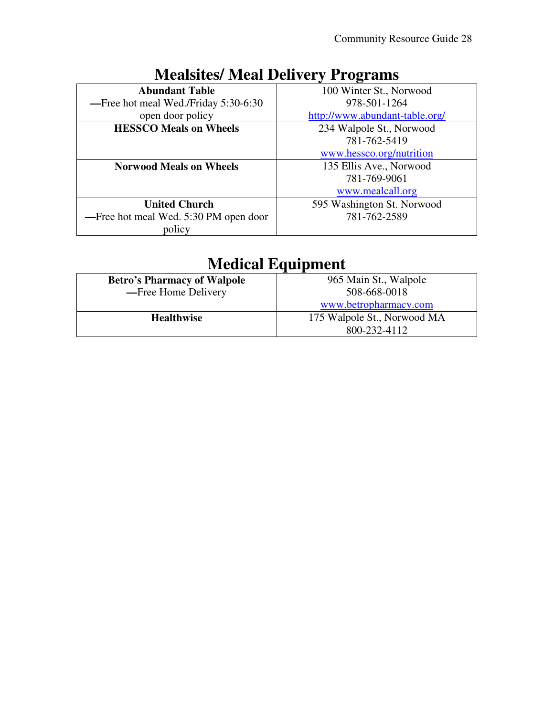| <b>Abundant Table</b>                 | 100 Winter St., Norwood        |
|---------------------------------------|--------------------------------|
| -Free hot meal Wed./Friday 5:30-6:30  | 978-501-1264                   |
| open door policy                      | http://www.abundant-table.org/ |
| <b>HESSCO Meals on Wheels</b>         | 234 Walpole St., Norwood       |
|                                       | 781-762-5419                   |
|                                       | www.hessco.org/nutrition       |
| <b>Norwood Meals on Wheels</b>        | 135 Ellis Ave., Norwood        |
|                                       | 781-769-9061                   |
|                                       | www.mealcall.org               |
| <b>United Church</b>                  | 595 Washington St. Norwood     |
| -Free hot meal Wed. 5:30 PM open door | 781-762-2589                   |
| policy                                |                                |

## **Mealsites/ Meal Delivery Programs**

## **Medical Equipment**

| <b>Betro's Pharmacy of Walpole</b> | 965 Main St., Walpole       |
|------------------------------------|-----------------------------|
| -Free Home Delivery                | 508-668-0018                |
|                                    | www.betropharmacy.com       |
| <b>Healthwise</b>                  | 175 Walpole St., Norwood MA |
|                                    | 800-232-4112                |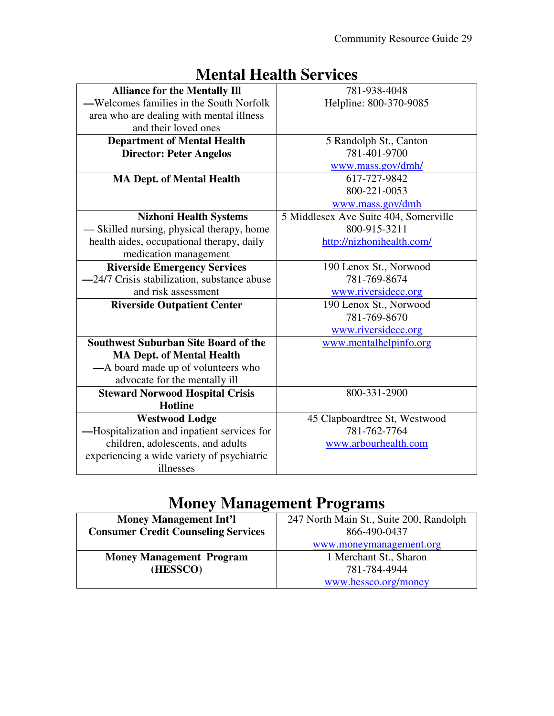| <b>Alliance for the Mentally Ill</b>        | 781-938-4048                          |
|---------------------------------------------|---------------------------------------|
| —Welcomes families in the South Norfolk     | Helpline: 800-370-9085                |
| area who are dealing with mental illness    |                                       |
| and their loved ones                        |                                       |
| <b>Department of Mental Health</b>          | 5 Randolph St., Canton                |
| <b>Director: Peter Angelos</b>              | 781-401-9700                          |
|                                             | www.mass.gov/dmh/                     |
| <b>MA Dept. of Mental Health</b>            | 617-727-9842                          |
|                                             | 800-221-0053                          |
|                                             | www.mass.gov/dmh                      |
| <b>Nizhoni Health Systems</b>               | 5 Middlesex Ave Suite 404, Somerville |
| Skilled nursing, physical therapy, home     | 800-915-3211                          |
| health aides, occupational therapy, daily   | http://nizhonihealth.com/             |
| medication management                       |                                       |
| <b>Riverside Emergency Services</b>         | 190 Lenox St., Norwood                |
| -24/7 Crisis stabilization, substance abuse | 781-769-8674                          |
| and risk assessment                         | www.riversidecc.org                   |
| <b>Riverside Outpatient Center</b>          | 190 Lenox St., Norwood                |
|                                             | 781-769-8670                          |
|                                             | www.riversidecc.org                   |
| <b>Southwest Suburban Site Board of the</b> | www.mentalhelpinfo.org                |
| <b>MA Dept. of Mental Health</b>            |                                       |
| -A board made up of volunteers who          |                                       |
| advocate for the mentally ill               |                                       |
| <b>Steward Norwood Hospital Crisis</b>      | 800-331-2900                          |
| <b>Hotline</b>                              |                                       |
| <b>Westwood Lodge</b>                       | 45 Clapboardtree St, Westwood         |
| -Hospitalization and inpatient services for | 781-762-7764                          |
| children, adolescents, and adults           | www.arbourhealth.com                  |
| experiencing a wide variety of psychiatric  |                                       |
| illnesses                                   |                                       |

#### **Mental Health Services**

## **Money Management Programs**

| <b>Money Management Int'l</b>              | 247 North Main St., Suite 200, Randolph |
|--------------------------------------------|-----------------------------------------|
| <b>Consumer Credit Counseling Services</b> | 866-490-0437                            |
|                                            | www.moneymanagement.org                 |
| <b>Money Management Program</b>            | 1 Merchant St., Sharon                  |
| (HESSCO)                                   | 781-784-4944                            |
|                                            | www.hessco.org/money                    |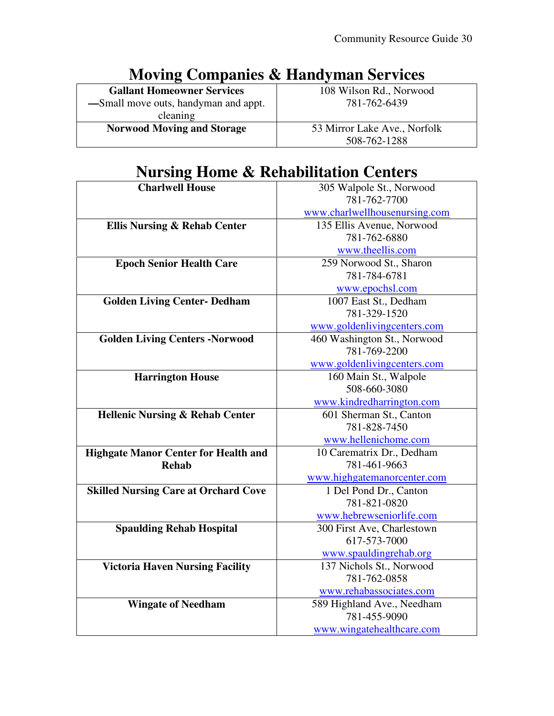| <b>NOVING COMPANIES &amp; Handyman Services</b> |                              |
|-------------------------------------------------|------------------------------|
| <b>Gallant Homeowner Services</b>               | 108 Wilson Rd., Norwood      |
| -Small move outs, handyman and appt.            | 781-762-6439                 |
| cleaning                                        |                              |
| <b>Norwood Moving and Storage</b>               | 53 Mirror Lake Ave., Norfolk |
|                                                 | 508-762-1288                 |

#### **Moving Companies & Handyman Services**

#### **Nursing Home & Rehabilitation Centers**

| <b>Charlwell House</b>                      | 305 Walpole St., Norwood      |
|---------------------------------------------|-------------------------------|
|                                             | 781-762-7700                  |
|                                             | www.charlwellhousenursing.com |
| <b>Ellis Nursing &amp; Rehab Center</b>     | 135 Ellis Avenue, Norwood     |
|                                             | 781-762-6880                  |
|                                             | www.theellis.com              |
| <b>Epoch Senior Health Care</b>             | 259 Norwood St., Sharon       |
|                                             | 781-784-6781                  |
|                                             | www.epochsl.com               |
| <b>Golden Living Center- Dedham</b>         | 1007 East St., Dedham         |
|                                             | 781-329-1520                  |
|                                             | www.goldenlivingcenters.com   |
| <b>Golden Living Centers -Norwood</b>       | 460 Washington St., Norwood   |
|                                             | 781-769-2200                  |
|                                             | www.goldenlivingcenters.com   |
| <b>Harrington House</b>                     | 160 Main St., Walpole         |
|                                             | 508-660-3080                  |
|                                             | www.kindredharrington.com     |
| <b>Hellenic Nursing &amp; Rehab Center</b>  | 601 Sherman St., Canton       |
|                                             | 781-828-7450                  |
|                                             | www.hellenichome.com          |
| <b>Highgate Manor Center for Health and</b> | 10 Carematrix Dr., Dedham     |
| <b>Rehab</b>                                | 781-461-9663                  |
|                                             | www.highgatemanorcenter.com   |
| <b>Skilled Nursing Care at Orchard Cove</b> | 1 Del Pond Dr., Canton        |
|                                             | 781-821-0820                  |
|                                             | www.hebrewseniorlife.com      |
| <b>Spaulding Rehab Hospital</b>             | 300 First Ave, Charlestown    |
|                                             | 617-573-7000                  |
|                                             | www.spauldingrehab.org        |
| <b>Victoria Haven Nursing Facility</b>      | 137 Nichols St., Norwood      |
|                                             | 781-762-0858                  |
|                                             | www.rehabassociates.com       |
| <b>Wingate of Needham</b>                   | 589 Highland Ave., Needham    |
|                                             | 781-455-9090                  |
|                                             | www.wingatehealthcare.com     |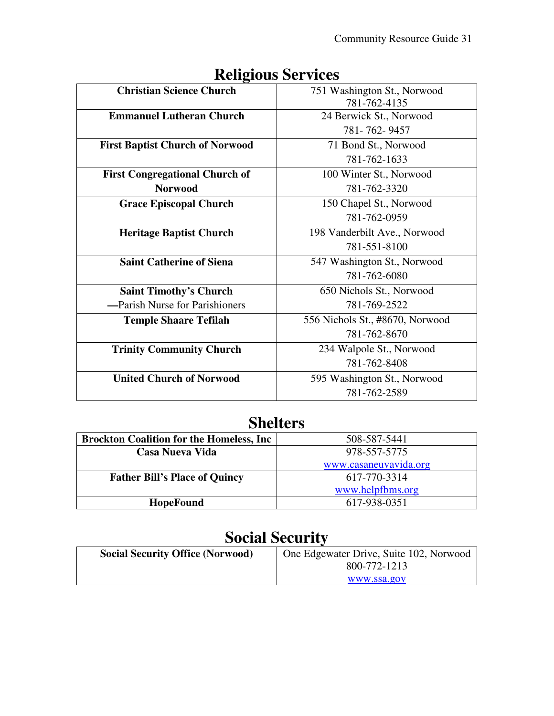| <b>Christian Science Church</b>        | 751 Washington St., Norwood     |
|----------------------------------------|---------------------------------|
|                                        | 781-762-4135                    |
| <b>Emmanuel Lutheran Church</b>        | 24 Berwick St., Norwood         |
|                                        | 781-762-9457                    |
| <b>First Baptist Church of Norwood</b> | 71 Bond St., Norwood            |
|                                        | 781-762-1633                    |
| <b>First Congregational Church of</b>  | 100 Winter St., Norwood         |
| <b>Norwood</b>                         | 781-762-3320                    |
| <b>Grace Episcopal Church</b>          | 150 Chapel St., Norwood         |
|                                        | 781-762-0959                    |
| <b>Heritage Baptist Church</b>         | 198 Vanderbilt Ave., Norwood    |
|                                        | 781-551-8100                    |
| <b>Saint Catherine of Siena</b>        | 547 Washington St., Norwood     |
|                                        | 781-762-6080                    |
| <b>Saint Timothy's Church</b>          | 650 Nichols St., Norwood        |
| -Parish Nurse for Parishioners         | 781-769-2522                    |
| <b>Temple Shaare Tefilah</b>           | 556 Nichols St., #8670, Norwood |
|                                        | 781-762-8670                    |
| <b>Trinity Community Church</b>        | 234 Walpole St., Norwood        |
|                                        | 781-762-8408                    |
| <b>United Church of Norwood</b>        | 595 Washington St., Norwood     |
|                                        | 781-762-2589                    |

## **Religious Services**

## **Shelters**

| <b>Brockton Coalition for the Homeless, Inc.</b> | 508-587-5441          |
|--------------------------------------------------|-----------------------|
| Casa Nueva Vida                                  | 978-557-5775          |
|                                                  | www.casaneuvavida.org |
| <b>Father Bill's Place of Quincy</b>             | 617-770-3314          |
|                                                  | www.helpfbms.org      |
| <b>HopeFound</b>                                 | 617-938-0351          |

## **Social Security**

| <b>Social Security Office (Norwood)</b> | One Edgewater Drive, Suite 102, Norwood |
|-----------------------------------------|-----------------------------------------|
|                                         | 800-772-1213                            |
|                                         | www.ssa.gov                             |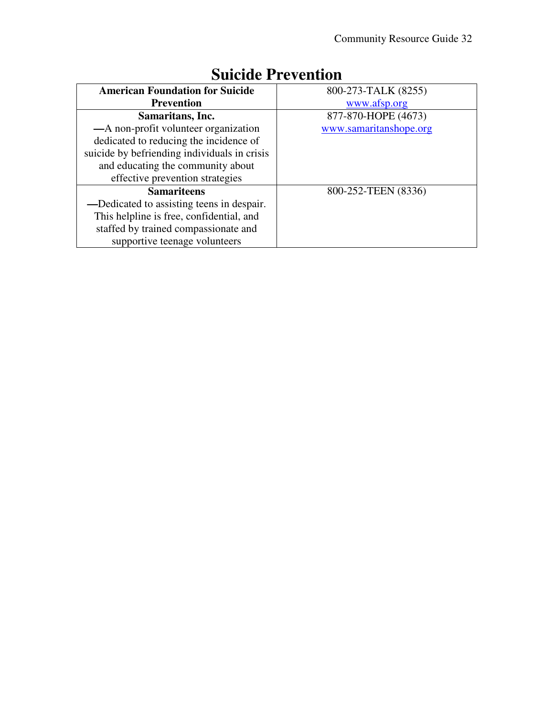| <b>American Foundation for Suicide</b>       | 800-273-TALK (8255)    |
|----------------------------------------------|------------------------|
| <b>Prevention</b>                            | www.afsp.org           |
| Samaritans, Inc.                             | 877-870-HOPE (4673)    |
| -A non-profit volunteer organization         | www.samaritanshope.org |
| dedicated to reducing the incidence of       |                        |
| suicide by befriending individuals in crisis |                        |
| and educating the community about            |                        |
| effective prevention strategies              |                        |
| <b>Samariteens</b>                           | 800-252-TEEN (8336)    |
| —Dedicated to assisting teens in despair.    |                        |
| This helpline is free, confidential, and     |                        |
| staffed by trained compassionate and         |                        |
| supportive teenage volunteers                |                        |

## **Suicide Prevention**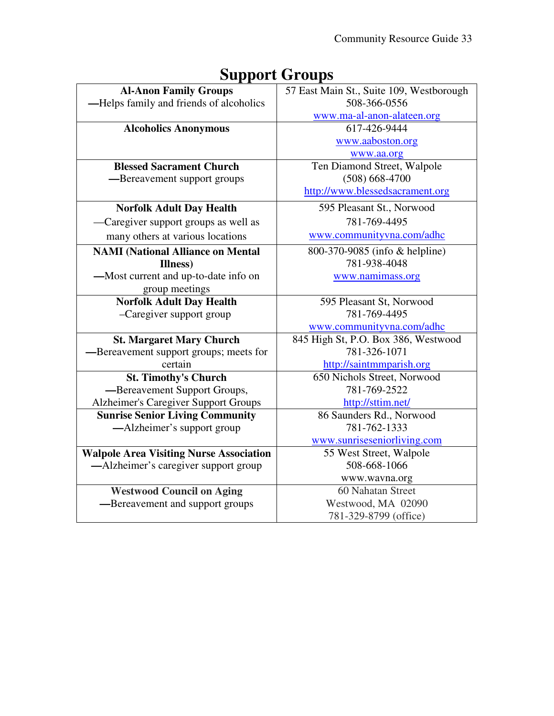| -г г                                           |                                          |
|------------------------------------------------|------------------------------------------|
| <b>Al-Anon Family Groups</b>                   | 57 East Main St., Suite 109, Westborough |
| -Helps family and friends of alcoholics        | 508-366-0556                             |
|                                                | www.ma-al-anon-alateen.org               |
| <b>Alcoholics Anonymous</b>                    | 617-426-9444                             |
|                                                | www.aaboston.org                         |
|                                                | www.aa.org                               |
| <b>Blessed Sacrament Church</b>                | Ten Diamond Street, Walpole              |
| -Bereavement support groups                    | $(508) 668 - 4700$                       |
|                                                | http://www.blessedsacrament.org          |
| <b>Norfolk Adult Day Health</b>                | 595 Pleasant St., Norwood                |
| -Caregiver support groups as well as           | 781-769-4495                             |
| many others at various locations               | www.communityvna.com/adhc                |
| <b>NAMI</b> (National Alliance on Mental       | 800-370-9085 (info & helpline)           |
| Illness)                                       | 781-938-4048                             |
| -Most current and up-to-date info on           | www.namimass.org                         |
| group meetings                                 |                                          |
| <b>Norfolk Adult Day Health</b>                | 595 Pleasant St, Norwood                 |
| -Caregiver support group                       | 781-769-4495                             |
|                                                | www.communityvna.com/adhc                |
| <b>St. Margaret Mary Church</b>                | 845 High St, P.O. Box 386, Westwood      |
| -Bereavement support groups; meets for         | 781-326-1071                             |
| certain                                        | http://saintmmparish.org                 |
| <b>St. Timothy's Church</b>                    | 650 Nichols Street, Norwood              |
| -Bereavement Support Groups,                   | 781-769-2522                             |
| <b>Alzheimer's Caregiver Support Groups</b>    | http://sttim.net/                        |
| <b>Sunrise Senior Living Community</b>         | 86 Saunders Rd., Norwood                 |
| —Alzheimer's support group                     | 781-762-1333                             |
|                                                | www.sunriseseniorliving.com              |
| <b>Walpole Area Visiting Nurse Association</b> | 55 West Street, Walpole                  |
| —Alzheimer's caregiver support group           | 508-668-1066                             |
|                                                | www.wavna.org                            |
| <b>Westwood Council on Aging</b>               | 60 Nahatan Street                        |
| -Bereavement and support groups                | Westwood, MA 02090                       |
|                                                | 781-329-8799 (office)                    |

## **Support Groups**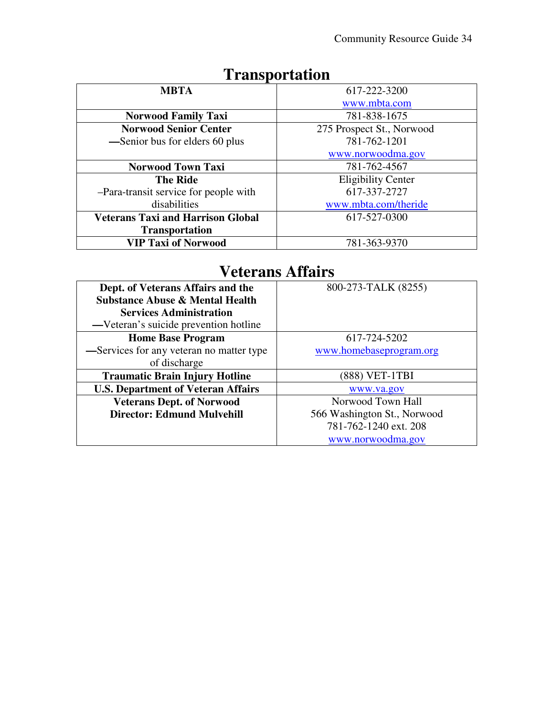| <b>MBTA</b>                              | 617-222-3200              |
|------------------------------------------|---------------------------|
|                                          | www.mbta.com              |
| <b>Norwood Family Taxi</b>               | 781-838-1675              |
| <b>Norwood Senior Center</b>             | 275 Prospect St., Norwood |
| —Senior bus for elders 60 plus           | 781-762-1201              |
|                                          | www.norwoodma.gov         |
| Norwood Town Taxi                        | 781-762-4567              |
| <b>The Ride</b>                          | <b>Eligibility Center</b> |
| -Para-transit service for people with    | 617-337-2727              |
| disabilities                             | www.mbta.com/theride      |
| <b>Veterans Taxi and Harrison Global</b> | 617-527-0300              |
| <b>Transportation</b>                    |                           |
| <b>VIP Taxi of Norwood</b>               | 781-363-9370              |

## **Transportation**

#### **Veterans Affairs**

| Dept. of Veterans Affairs and the          | 800-273-TALK (8255)         |
|--------------------------------------------|-----------------------------|
| <b>Substance Abuse &amp; Mental Health</b> |                             |
| <b>Services Administration</b>             |                             |
| —Veteran's suicide prevention hotline      |                             |
| <b>Home Base Program</b>                   | 617-724-5202                |
| -Services for any veteran no matter type   | www.homebaseprogram.org     |
| of discharge                               |                             |
| <b>Traumatic Brain Injury Hotline</b>      | (888) VET-1TBI              |
| <b>U.S. Department of Veteran Affairs</b>  | www.va.gov                  |
| <b>Veterans Dept. of Norwood</b>           | Norwood Town Hall           |
| <b>Director: Edmund Mulvehill</b>          | 566 Washington St., Norwood |
|                                            | 781-762-1240 ext. 208       |
|                                            | www.norwoodma.gov           |